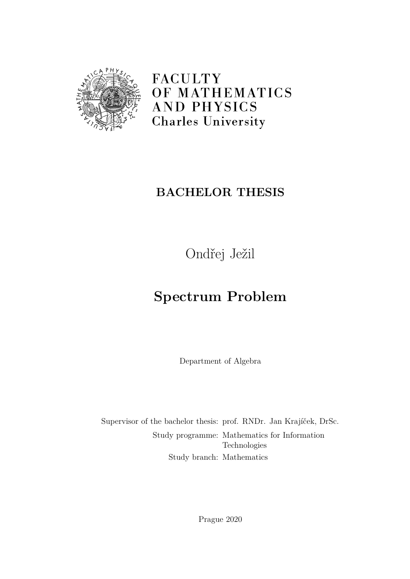

FACULTY OF MATHEMATICS **AND PHYSICS Charles University** 

## **BACHELOR THESIS**

Ondřej Ježil

# **Spectrum Problem**

Department of Algebra

Supervisor of the bachelor thesis: prof. RNDr. Jan Krajíček, DrSc. Study programme: Mathematics for Information Technologies Study branch: Mathematics

Prague 2020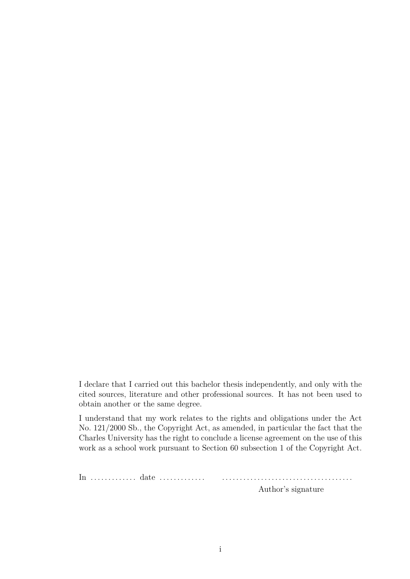I declare that I carried out this bachelor thesis independently, and only with the cited sources, literature and other professional sources. It has not been used to obtain another or the same degree.

I understand that my work relates to the rights and obligations under the Act No. 121/2000 Sb., the Copyright Act, as amended, in particular the fact that the Charles University has the right to conclude a license agreement on the use of this work as a school work pursuant to Section 60 subsection 1 of the Copyright Act.

In . . . . . . . . . . . . . date . . . . . . . . . . . . . . . . . . . . . . . . . . . . . . . . . . . . . . . . . . . . . . . . . .

Author's signature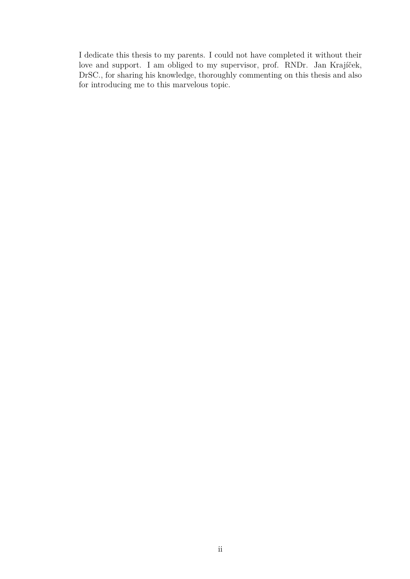I dedicate this thesis to my parents. I could not have completed it without their love and support. I am obliged to my supervisor, prof. RNDr. Jan Krajíček, DrSC., for sharing his knowledge, thoroughly commenting on this thesis and also for introducing me to this marvelous topic.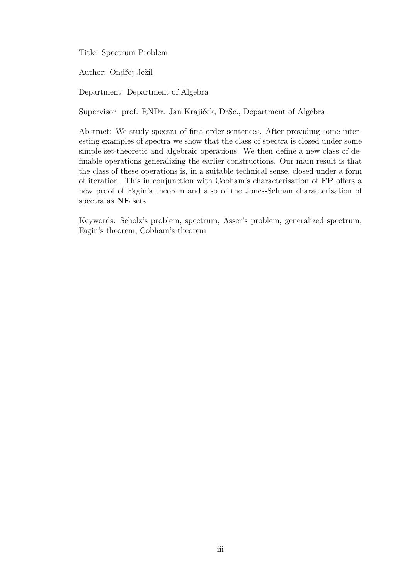Title: Spectrum Problem

Author: Ondřej Ježil

Department: Department of Algebra

Supervisor: prof. RNDr. Jan Krajíček, DrSc., Department of Algebra

Abstract: We study spectra of first-order sentences. After providing some interesting examples of spectra we show that the class of spectra is closed under some simple set-theoretic and algebraic operations. We then define a new class of definable operations generalizing the earlier constructions. Our main result is that the class of these operations is, in a suitable technical sense, closed under a form of iteration. This in conjunction with Cobham's characterisation of **FP** offers a new proof of Fagin's theorem and also of the Jones-Selman characterisation of spectra as **NE** sets.

Keywords: Scholz's problem, spectrum, Asser's problem, generalized spectrum, Fagin's theorem, Cobham's theorem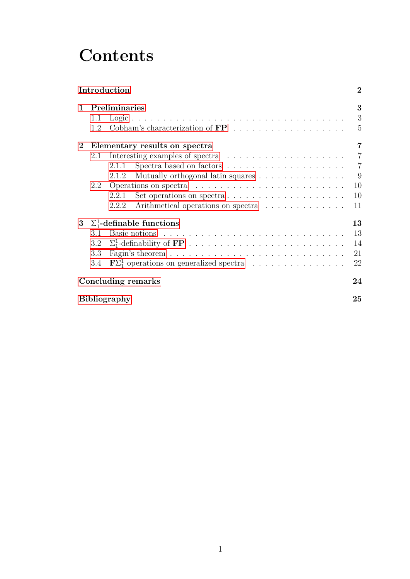# **Contents**

|                     |                                 | Introduction                                                             | $\overline{2}$ |  |  |  |  |  |  |  |  |
|---------------------|---------------------------------|--------------------------------------------------------------------------|----------------|--|--|--|--|--|--|--|--|
| $\mathbf{1}$        | Preliminaries                   |                                                                          |                |  |  |  |  |  |  |  |  |
|                     | 1.1                             |                                                                          | 3              |  |  |  |  |  |  |  |  |
|                     | 1.2                             |                                                                          | 5              |  |  |  |  |  |  |  |  |
| $\bf{2}$            |                                 | Elementary results on spectra                                            | $\overline{7}$ |  |  |  |  |  |  |  |  |
|                     | 2.1                             |                                                                          | $\overline{7}$ |  |  |  |  |  |  |  |  |
|                     |                                 | 2.1.1                                                                    | $\overline{7}$ |  |  |  |  |  |  |  |  |
|                     |                                 | Mutually orthogonal latin squares<br>2.1.2                               | 9              |  |  |  |  |  |  |  |  |
|                     | 2.2                             |                                                                          | 10             |  |  |  |  |  |  |  |  |
|                     |                                 | Set operations on spectra $\dots \dots \dots \dots \dots \dots$<br>2.2.1 | 10             |  |  |  |  |  |  |  |  |
|                     |                                 | Arithmetical operations on spectra<br>2.2.2                              | 11             |  |  |  |  |  |  |  |  |
| 3 <sup>1</sup>      | $\Sigma^1$ -definable functions |                                                                          |                |  |  |  |  |  |  |  |  |
|                     | 3.1                             |                                                                          | 13             |  |  |  |  |  |  |  |  |
|                     | 3.2                             |                                                                          | 14             |  |  |  |  |  |  |  |  |
|                     | 3.3                             |                                                                          | 21             |  |  |  |  |  |  |  |  |
|                     | 3.4                             |                                                                          | 22             |  |  |  |  |  |  |  |  |
|                     |                                 | Concluding remarks                                                       | 24             |  |  |  |  |  |  |  |  |
| <b>Bibliography</b> |                                 |                                                                          |                |  |  |  |  |  |  |  |  |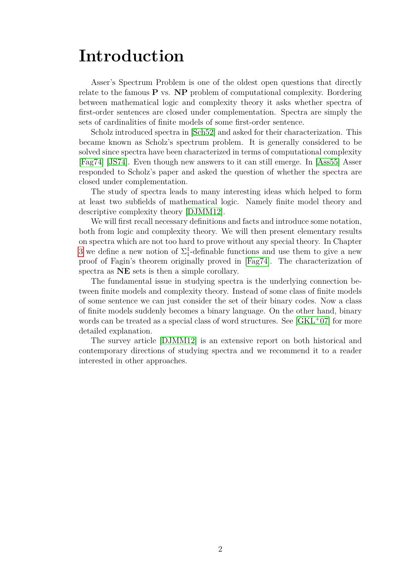## <span id="page-5-0"></span>**Introduction**

Asser's Spectrum Problem is one of the oldest open questions that directly relate to the famous **P** vs. **NP** problem of computational complexity. Bordering between mathematical logic and complexity theory it asks whether spectra of first-order sentences are closed under complementation. Spectra are simply the sets of cardinalities of finite models of some first-order sentence.

Scholz introduced spectra in [\[Sch52\]](#page-28-1) and asked for their characterization. This became known as Scholz's spectrum problem. It is generally considered to be solved since spectra have been characterized in terms of computational complexity [\[Fag74\]](#page-28-2) [\[JS74\]](#page-28-3). Even though new answers to it can still emerge. In [\[Ass55\]](#page-28-4) Asser responded to Scholz's paper and asked the question of whether the spectra are closed under complementation.

The study of spectra leads to many interesting ideas which helped to form at least two subfields of mathematical logic. Namely finite model theory and descriptive complexity theory [\[DJMM12\]](#page-28-5).

We will first recall necessary definitions and facts and introduce some notation, both from logic and complexity theory. We will then present elementary results on spectra which are not too hard to prove without any special theory. In Chapter [3](#page-16-0) we define a new notion of  $\Sigma_1^1$ -definable functions and use them to give a new proof of Fagin's theorem originally proved in [\[Fag74\]](#page-28-2). The characterization of spectra as **NE** sets is then a simple corollary.

The fundamental issue in studying spectra is the underlying connection between finite models and complexity theory. Instead of some class of finite models of some sentence we can just consider the set of their binary codes. Now a class of finite models suddenly becomes a binary language. On the other hand, binary words can be treated as a special class of word structures. See [\[GKL](#page-28-6)+07] for more detailed explanation.

The survey article [\[DJMM12\]](#page-28-5) is an extensive report on both historical and contemporary directions of studying spectra and we recommend it to a reader interested in other approaches.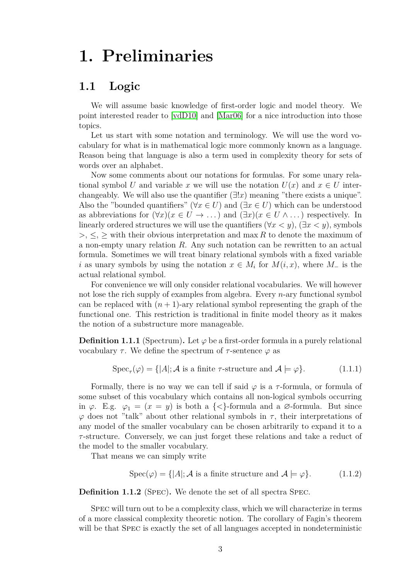# <span id="page-6-0"></span>**1. Preliminaries**

## <span id="page-6-1"></span>**1.1 Logic**

We will assume basic knowledge of first-order logic and model theory. We point interested reader to [\[vdD10\]](#page-29-0) and [\[Mar06\]](#page-28-7) for a nice introduction into those topics.

Let us start with some notation and terminology. We will use the word vocabulary for what is in mathematical logic more commonly known as a language. Reason being that language is also a term used in complexity theory for sets of words over an alphabet.

Now some comments about our notations for formulas. For some unary relational symbol *U* and variable *x* we will use the notation  $U(x)$  and  $x \in U$  interchangeably. We will also use the quantifier  $(\exists !x)$  meaning "there exists a unique". Also the "bounded quantifiers" ( $\forall x \in U$ ) and ( $\exists x \in U$ ) which can be understood as abbreviations for  $(\forall x)(x \in U \rightarrow \dots)$  and  $(\exists x)(x \in U \wedge \dots)$  respectively. In linearly ordered structures we will use the quantifiers ( $\forall x \leq y$ ), ( $\exists x \leq y$ ), symbols *>*, ≤, ≥ with their obvious interpretation and max *R* to denote the maximum of a non-empty unary relation *R*. Any such notation can be rewritten to an actual formula. Sometimes we will treat binary relational symbols with a fixed variable *i* as unary symbols by using the notation  $x \in M_i$  for  $M(i, x)$ , where  $M_{-}$  is the actual relational symbol.

For convenience we will only consider relational vocabularies. We will however not lose the rich supply of examples from algebra. Every *n*-ary functional symbol can be replaced with  $(n+1)$ -ary relational symbol representing the graph of the functional one. This restriction is traditional in finite model theory as it makes the notion of a substructure more manageable.

**Definition 1.1.1** (Spectrum). Let  $\varphi$  be a first-order formula in a purely relational vocabulary  $\tau$ . We define the spectrum of  $\tau$ -sentence  $\varphi$  as

$$
Spec_{\tau}(\varphi) = \{ |A|; \mathcal{A} \text{ is a finite } \tau\text{-structure and } \mathcal{A} \models \varphi \}. \tag{1.1.1}
$$

Formally, there is no way we can tell if said  $\varphi$  is a *τ*-formula, or formula of some subset of this vocabulary which contains all non-logical symbols occurring in  $\varphi$ . E.g.  $\varphi_1 = (x = y)$  is both a  $\{\langle\}\$ -formula and a  $\varnothing$ -formula. But since  $\varphi$  does not "talk" about other relational symbols in  $\tau$ , their interpretations of any model of the smaller vocabulary can be chosen arbitrarily to expand it to a *τ* -structure. Conversely, we can just forget these relations and take a reduct of the model to the smaller vocabulary.

That means we can simply write

$$
Spec(\varphi) = \{ |A|; \mathcal{A} \text{ is a finite structure and } \mathcal{A} \models \varphi \}. \tag{1.1.2}
$$

**Definition 1.1.2** (Spec)**.** We denote the set of all spectra Spec.

Spec will turn out to be a complexity class, which we will characterize in terms of a more classical complexity theoretic notion. The corollary of Fagin's theorem will be that Spec is exactly the set of all languages accepted in nondeterministic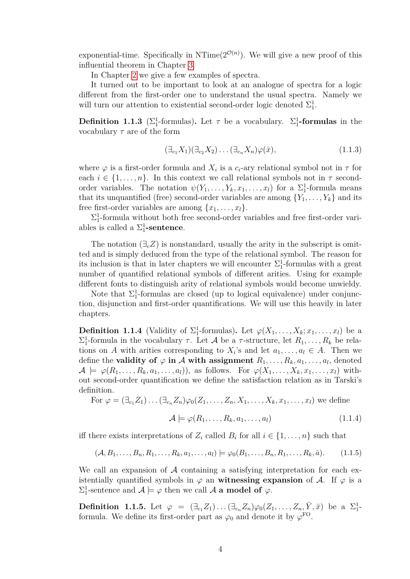exponential-time. Specifically in NTime( $2^{\mathcal{O}(n)}$ ). We will give a new proof of this influential theorem in Chapter [3.](#page-16-0)

In Chapter [2](#page-10-0) we give a few examples of spectra.

It turned out to be important to look at an analogue of spectra for a logic different from the first-order one to understand the usual spectra. Namely we will turn our attention to existential second-order logic denoted  $\Sigma^1_1$ .

**Definition 1.1.3** ( $\Sigma_1^1$ -formulas). Let  $\tau$  be a vocabulary.  $\Sigma_1^1$ -formulas in the vocabulary *τ* are of the form

$$
(\exists_{c_1} X_1)(\exists_{c_2} X_2)\dots(\exists_{c_n} X_n)\varphi(\bar{x}),\tag{1.1.3}
$$

where  $\varphi$  is a first-order formula and  $X_i$  is a  $c_i$ -ary relational symbol not in  $\tau$  for each  $i \in \{1, \ldots, n\}$ . In this context we call relational symbols not in  $\tau$  secondorder variables. The notation  $\psi(Y_1, \ldots, Y_k, x_1, \ldots, x_l)$  for a  $\Sigma_1^1$ -formula means that its unquantified (free) second-order variables are among  $\{Y_1, \ldots, Y_k\}$  and its free first-order variables are among  $\{x_1, \ldots, x_l\}.$ 

 $\Sigma^1_1$ -formula without both free second-order variables and free first-order variables is called a  $\Sigma_1^1$ **-sentence**.

The notation  $(\exists_c Z)$  is nonstandard, usually the arity in the subscript is omitted and is simply deduced from the type of the relational symbol. The reason for its inclusion is that in later chapters we will encounter  $\Sigma_1^1$ -formulas with a great number of quantified relational symbols of different arities. Using for example different fonts to distinguish arity of relational symbols would become unwieldy.

Note that  $\Sigma_1^1$ -formulas are closed (up to logical equivalence) under conjunction, disjunction and first-order quantifications. We will use this heavily in later chapters.

**Definition 1.1.4** (Validity of  $\Sigma_1^1$ -formulas). Let  $\varphi(X_1, \ldots, X_k; x_1, \ldots, x_l)$  be a  $\Sigma_1^1$ -formula in the vocabulary *τ*. Let *A* be a *τ*-structure, let  $R_1, \ldots, R_k$  be relations on *A* with arities corresponding to  $X_i$ 's and let  $a_1, \ldots, a_l \in A$ . Then we define the **validity of**  $\varphi$  **in**  $\mathcal A$  with assignment  $R_1, \ldots, R_k, a_1, \ldots, a_l$ , denoted  $\mathcal{A} \models \varphi(R_1, \ldots, R_k, a_1, \ldots, a_l)$ , as follows. For  $\varphi(X_1, \ldots, X_k, x_1, \ldots, x_l)$  without second-order quantification we define the satisfaction relation as in Tarski's definition.

For 
$$
\varphi = (\exists_{c_1} Z_1) \dots (\exists_{c_n} Z_n) \varphi_0(Z_1, \dots, Z_n, X_1, \dots, X_k, x_1, \dots, x_l)
$$
 we define

$$
\mathcal{A} \models \varphi(R_1, \dots, R_k, a_1, \dots, a_l) \tag{1.1.4}
$$

iff there exists interpretations of  $Z_i$  called  $B_i$  for all  $i \in \{1, \ldots, n\}$  such that

$$
(\mathcal{A}, B_1, \dots, B_n, R_1, \dots, R_k, a_1, \dots, a_l) \models \varphi_0(B_1, \dots, B_n, R_1, \dots, R_k, \bar{a}).
$$
 (1.1.5)

We call an expansion of  $A$  containing a satisfying interpretation for each existentially quantified symbols in  $\varphi$  an **witnessing expansion** of A. If  $\varphi$  is a  $\Sigma^1_1$ -sentence and  $\mathcal{A} \models \varphi$  then we call  $\mathcal{A}$  **a model of**  $\varphi$ .

**Definition 1.1.5.** Let  $\varphi = (\exists_{c_1} Z_1) \dots (\exists_{c_n} Z_n) \varphi_0(Z_1, \dots, Z_n, \bar{Y}, \bar{x})$  be a  $\Sigma_1^1$ formula. We define its first-order part as  $\varphi_0$  and denote it by  $\varphi^{\text{FO}}$ .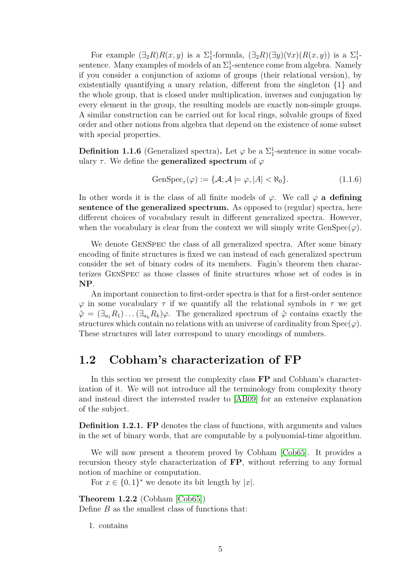For example  $(\exists_2 R)R(x, y)$  is a  $\Sigma_1^1$ -formula,  $(\exists_2 R)(\exists y)(\forall x)(R(x, y))$  is a  $\Sigma_1^1$ sentence. Many examples of models of an  $\Sigma^1_1$ -sentence come from algebra. Namely if you consider a conjunction of axioms of groups (their relational version), by existentially quantifying a unary relation, different from the singleton {1} and the whole group, that is closed under multiplication, inverses and conjugation by every element in the group, the resulting models are exactly non-simple groups. A similar construction can be carried out for local rings, solvable groups of fixed order and other notions from algebra that depend on the existence of some subset with special properties.

**Definition 1.1.6** (Generalized spectra). Let  $\varphi$  be a  $\Sigma_1^1$ -sentence in some vocabulary  $\tau$ . We define the **generalized spectrum** of  $\varphi$ 

$$
GenSpec_{\tau}(\varphi) := \{ \mathcal{A}; \mathcal{A} \models \varphi, |A| < \aleph_0 \}. \tag{1.1.6}
$$

In other words it is the class of all finite models of  $\varphi$ . We call  $\varphi$  **a defining sentence of the generalized spectrum.** As opposed to (regular) spectra, here different choices of vocabulary result in different generalized spectra. However, when the vocabulary is clear from the context we will simply write  $GenSpec(\varphi)$ .

We denote GenSpec the class of all generalized spectra. After some binary encoding of finite structures is fixed we can instead of each generalized spectrum consider the set of binary codes of its members. Fagin's theorem then characterizes GenSpec as those classes of finite structures whose set of codes is in **NP**.

An important connection to first-order spectra is that for a first-order sentence *φ* in some vocabulary *τ* if we quantify all the relational symbols in *τ* we get  $\hat{\varphi} = (\exists_{a_1} R_1) \dots (\exists_{a_k} R_k) \varphi$ . The generalized spectrum of  $\hat{\varphi}$  contains exactly the structures which contain no relations with an universe of cardinality from  $Spec(\varphi)$ . These structures will later correspond to unary encodings of numbers.

### <span id="page-8-0"></span>**1.2 Cobham's characterization of FP**

In this section we present the complexity class **FP** and Cobham's characterization of it. We will not introduce all the terminology from complexity theory and instead direct the interested reader to [\[AB09\]](#page-28-8) for an extensive explanation of the subject.

**Definition 1.2.1. FP** denotes the class of functions, with arguments and values in the set of binary words, that are computable by a polynomial-time algorithm.

We will now present a theorem proved by Cobham [\[Cob65\]](#page-28-9). It provides a recursion theory style characterization of **FP**, without referring to any formal notion of machine or computation.

For  $x \in \{0,1\}^*$  we denote its bit length by  $|x|$ .

<span id="page-8-1"></span>**Theorem 1.2.2** (Cobham [\[Cob65\]](#page-28-9))

Define *B* as the smallest class of functions that:

1. contains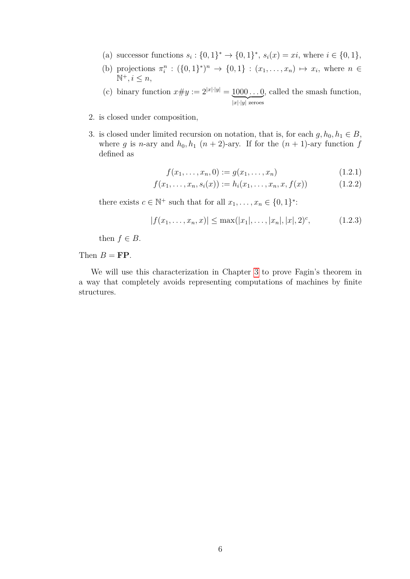- (a) successor functions  $s_i: \{0,1\}^* \to \{0,1\}^*, s_i(x) = xi$ , where  $i \in \{0,1\}$ ,
- (b) projections  $\pi_i^n : (\{0,1\}^*)^n \to \{0,1\} : (x_1, \ldots, x_n) \mapsto x_i$ , where  $n \in$  $\mathbb{N}^+, i \leq n$ ,
- (c) binary function  $x \# y := 2^{|x| \cdot |y|} = 1000 \dots 0$  $|x| \cdot |y|$  zeroes , called the smash function,
- 2. is closed under composition,
- 3. is closed under limited recursion on notation, that is, for each  $g, h_0, h_1 \in B$ , where *g* is *n*-ary and  $h_0, h_1$  (*n* + 2)-ary. If for the (*n* + 1)-ary function *f* defined as

$$
f(x_1, \ldots, x_n, 0) := g(x_1, \ldots, x_n)
$$
\n(1.2.1)

$$
f(x_1, \ldots, x_n, s_i(x)) := h_i(x_1, \ldots, x_n, x, f(x)) \tag{1.2.2}
$$

there exists  $c \in \mathbb{N}^+$  such that for all  $x_1, \ldots, x_n \in \{0, 1\}^*$ :

$$
|f(x_1, \ldots, x_n, x)| \le \max(|x_1|, \ldots, |x_n|, |x|, 2)^c, \tag{1.2.3}
$$

then  $f \in B$ .

Then  $B = \mathbf{FP}$ .

We will use this characterization in Chapter [3](#page-16-0) to prove Fagin's theorem in a way that completely avoids representing computations of machines by finite structures.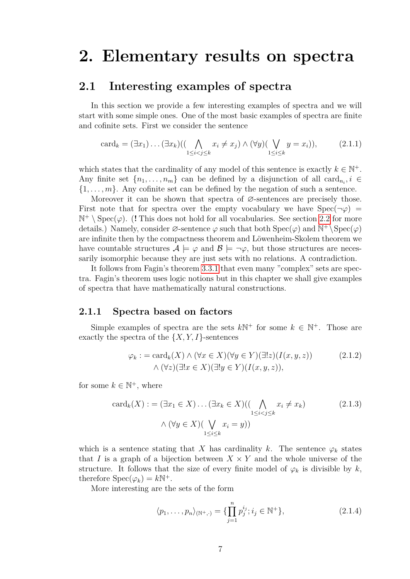## <span id="page-10-0"></span>**2. Elementary results on spectra**

### <span id="page-10-1"></span>**2.1 Interesting examples of spectra**

In this section we provide a few interesting examples of spectra and we will start with some simple ones. One of the most basic examples of spectra are finite and cofinite sets. First we consider the sentence

$$
card_k = (\exists x_1) \dots (\exists x_k) ((\bigwedge_{1 \le i < j \le k} x_i \neq x_j) \land (\forall y) (\bigvee_{1 \le i \le k} y = x_i)), \tag{2.1.1}
$$

which states that the cardinality of any model of this sentence is exactly  $k \in \mathbb{N}^+$ . Any finite set  $\{n_1, \ldots, n_m\}$  can be defined by a disjunction of all card<sub>n</sub><sup>*i*</sup>  $\in$  $\{1, \ldots, m\}$ . Any cofinite set can be defined by the negation of such a sentence.

Moreover it can be shown that spectra of  $\varnothing$ -sentences are precisely those. First note that for spectra over the empty vocabulary we have  $Spec(\neg \varphi)$  $\mathbb{N}^+ \setminus \text{Spec}(\varphi)$ . (**!** This does not hold for all vocabularies. See section [2.2](#page-13-0) for more details.) Namely, consider  $\varnothing$ -sentence  $\varphi$  such that both  $Spec(\varphi)$  and  $\mathbb{N}^+\backslash Spec(\varphi)$ are infinite then by the compactness theorem and Löwenheim-Skolem theorem we have countable structures  $\mathcal{A} \models \varphi$  and  $\mathcal{B} \models \neg \varphi$ , but those structures are necessarily isomorphic because they are just sets with no relations. A contradiction.

It follows from Fagin's theorem [3.3.1](#page-24-1) that even many "complex" sets are spectra. Fagin's theorem uses logic notions but in this chapter we shall give examples of spectra that have mathematically natural constructions.

#### <span id="page-10-2"></span>**2.1.1 Spectra based on factors**

Simple examples of spectra are the sets  $k\mathbb{N}^+$  for some  $k \in \mathbb{N}^+$ . Those are exactly the spectra of the  $\{X, Y, I\}$ -sentences

$$
\varphi_k := \operatorname{card}_k(X) \land (\forall x \in X)(\forall y \in Y)(\exists!z)(I(x, y, z)) \qquad (2.1.2)
$$
  
 
$$
\land (\forall z)(\exists!x \in X)(\exists!y \in Y)(I(x, y, z)),
$$

for some  $k \in \mathbb{N}^+$ , where

$$
card_k(X) := (\exists x_1 \in X) \dots (\exists x_k \in X) ((\bigwedge_{1 \le i < j \le k} x_i \ne x_k) \tag{2.1.3}
$$
\n
$$
\wedge (\forall y \in X) (\bigvee_{1 \le i \le k} x_i = y))
$$

which is a sentence stating that *X* has cardinality *k*. The sentence  $\varphi_k$  states that *I* is a graph of a bijection between  $X \times Y$  and the whole universe of the structure. It follows that the size of every finite model of  $\varphi_k$  is divisible by  $k$ , therefore  $Spec(\varphi_k) = k\mathbb{N}^+$ .

More interesting are the sets of the form

$$
\langle p_1, \dots, p_n \rangle_{(\mathbb{N}^+,\cdot)} = \{ \prod_{j=1}^n p_j^{i_j}; i_j \in \mathbb{N}^+ \},
$$
\n(2.1.4)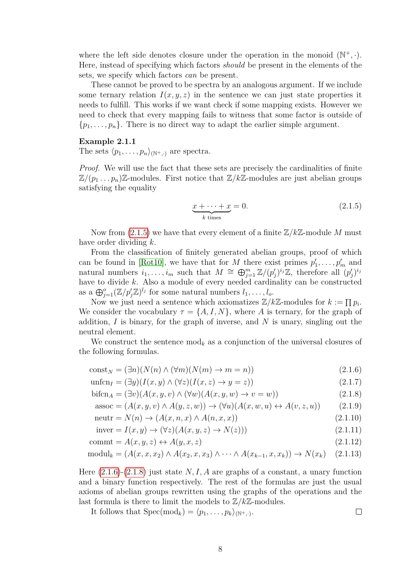where the left side denotes closure under the operation in the monoid  $(\mathbb{N}^+, \cdot)$ . Here, instead of specifying which factors *should* be present in the elements of the sets, we specify which factors *can* be present.

These cannot be proved to be spectra by an analogous argument. If we include some ternary relation  $I(x, y, z)$  in the sentence we can just state properties it needs to fulfill. This works if we want check if some mapping exists. However we need to check that every mapping fails to witness that some factor is outside of  $\{p_1, \ldots, p_n\}$ . There is no direct way to adapt the earlier simple argument.

#### **Example 2.1.1**

The sets  $\langle p_1, \ldots, p_n \rangle_{\{N^+, \ldots\}}$  are spectra.

*Proof.* We will use the fact that these sets are precisely the cardinalities of finite  $\mathbb{Z}/(p_1 \dots p_n)\mathbb{Z}$ -modules. First notice that  $\mathbb{Z}/k\mathbb{Z}$ -modules are just abelian groups satisfying the equality

<span id="page-11-2"></span><span id="page-11-1"></span><span id="page-11-0"></span>
$$
\underbrace{x + \dots + x}_{k \text{ times}} = 0. \tag{2.1.5}
$$

Now from [\(2.1.5\)](#page-11-0) we have that every element of a finite Z*/k*Z-module *M* must have order dividing *k*.

From the classification of finitely generated abelian groups, proof of which can be found in [\[Rot10\]](#page-28-10), we have that for *M* there exist primes  $p'_1, \ldots, p'_m$  and natural numbers  $i_1, \ldots, i_m$  such that  $M \cong \bigoplus_{j=1}^m \mathbb{Z}/(p'_j)^{i_j}\mathbb{Z}$ , therefore all  $(p'_j)^{i_j}$ have to divide *k*. Also a module of every needed cardinality can be constructed as a  $\bigoplus_{j=1}^o (\mathbb{Z}/p'_j \mathbb{Z})^{l_j}$  for some natural numbers  $l_1, \ldots, l_o$ .

Now we just need a sentence which axiomatizes  $\mathbb{Z}/k\mathbb{Z}$ -modules for  $k := \prod p_i$ . We consider the vocabulary  $\tau = \{A, I, N\}$ , where *A* is ternary, for the graph of addition, *I* is binary, for the graph of inverse, and *N* is unary, singling out the neutral element.

We construct the sentence  $\text{mod}_k$  as a conjunction of the universal closures of the following formulas.

$$
const_N = (\exists n)(N(n) \land (\forall m)(N(m) \to m = n))
$$
\n(2.1.6)

$$
\text{unfen}_I = (\exists y)(I(x, y) \land (\forall z)(I(x, z) \to y = z)) \tag{2.1.7}
$$

$$
\text{bifcn}_A = (\exists v)(A(x, y, v) \land (\forall w)(A(x, y, w) \to v = w))
$$
\n(2.1.8)

$$
assoc = (A(x, y, v) \land A(y, z, w)) \rightarrow (\forall u)(A(x, w, u) \leftrightarrow A(v, z, u))
$$
\n(2.1.9)

$$
neutr = N(n) \rightarrow (A(x, n, x) \land A(n, x, x))
$$
\n(2.1.10)

$$
inverse = I(x, y) \rightarrow (\forall z)(A(x, y, z) \rightarrow N(z)))
$$
\n(2.1.11)

$$
commt = A(x, y, z) \leftrightarrow A(y, x, z) \tag{2.1.12}
$$

$$
modul_k = (A(x, x, x_2) \land A(x_2, x, x_3) \land \cdots \land A(x_{k-1}, x, x_k)) \to N(x_k) \quad (2.1.13)
$$

Here [\(2.1.6\)](#page-11-1)-[\(2.1.8\)](#page-11-2) just state *N, I, A* are graphs of a constant, a unary function and a binary function respectively. The rest of the formulas are just the usual axioms of abelian groups rewritten using the graphs of the operations and the last formula is there to limit the models to  $\mathbb{Z}/k\mathbb{Z}$ -modules.

It follows that 
$$
\text{Spec}(\text{mod}_k) = \langle p_1, \ldots, p_k \rangle_{(\mathbb{N}^+,\cdot)}.
$$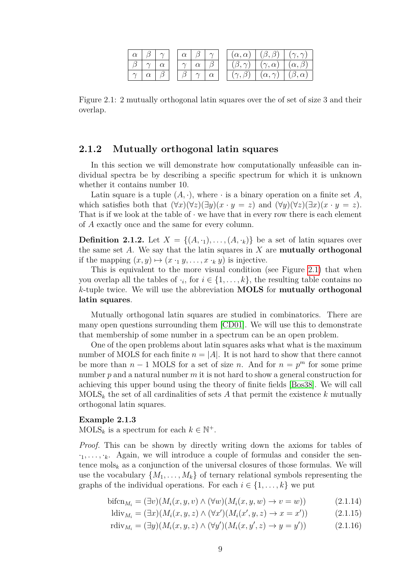|  |  |  |   | $(\alpha, \alpha)$ | $(\beta, \beta)$   |                   |
|--|--|--|---|--------------------|--------------------|-------------------|
|  |  |  |   | $\gamma$ )<br>B    | $(\gamma,\alpha)$  | $(\alpha, \beta)$ |
|  |  |  | u | . N :              | $(\alpha, \gamma)$ | $(\rho, \alpha)$  |

<span id="page-12-1"></span>Figure 2.1: 2 mutually orthogonal latin squares over the of set of size 3 and their overlap.

#### <span id="page-12-0"></span>**2.1.2 Mutually orthogonal latin squares**

In this section we will demonstrate how computationally unfeasible can individual spectra be by describing a specific spectrum for which it is unknown whether it contains number 10.

Latin square is a tuple  $(A, \cdot)$ , where  $\cdot$  is a binary operation on a finite set A, which satisfies both that  $(\forall x)(\forall z)(\exists y)(x \cdot y = z)$  and  $(\forall y)(\forall z)(\exists x)(x \cdot y = z)$ . That is if we look at the table of  $\cdot$  we have that in every row there is each element of *A* exactly once and the same for every column.

**Definition 2.1.2.** Let  $X = \{(A, \cdot_1), \ldots, (A, \cdot_k)\}\)$  be a set of latin squares over the same set *A*. We say that the latin squares in *X* are **mutually orthogonal** if the mapping  $(x, y) \mapsto (x \cdot y, \dots, x \cdot y)$  is injective.

This is equivalent to the more visual condition (see Figure [2.1\)](#page-12-1) that when you overlap all the tables of  $\cdot_i$ , for  $i \in \{1, \ldots, k\}$ , the resulting table contains no *k*-tuple twice. We will use the abbreviation **MOLS** for **mutually orthogonal latin squares**.

Mutually orthogonal latin squares are studied in combinatorics. There are many open questions surrounding them [\[CD01\]](#page-28-11). We will use this to demonstrate that membership of some number in a spectrum can be an open problem.

One of the open problems about latin squares asks what what is the maximum number of MOLS for each finite  $n = |A|$ . It is not hard to show that there cannot be more than  $n-1$  MOLS for a set of size *n*. And for  $n = p<sup>m</sup>$  for some prime number *p* and a natural number *m* it is not hard to show a general construction for achieving this upper bound using the theory of finite fields [\[Bos38\]](#page-28-12). We will call  $MOLS_k$  the set of all cardinalities of sets A that permit the existence k mutually orthogonal latin squares.

#### **Example 2.1.3**

 $\text{MOLS}_k$  is a spectrum for each  $k \in \mathbb{N}^+$ .

*Proof.* This can be shown by directly writing down the axioms for tables of  $\cdot_1, \ldots, \cdot_k$ . Again, we will introduce a couple of formulas and consider the sentence mols<sub>k</sub> as a conjunction of the universal closures of those formulas. We will use the vocabulary  $\{M_1, \ldots, M_k\}$  of ternary relational symbols representing the graphs of the individual operations. For each  $i \in \{1, \ldots, k\}$  we put

$$
\text{bifcn}_{M_i} = (\exists v)(M_i(x, y, v) \land (\forall w)(M_i(x, y, w) \to v = w)) \tag{2.1.14}
$$

$$
\text{ldiv}_{M_i} = (\exists x)(M_i(x, y, z) \land (\forall x')(M_i(x', y, z) \to x = x')) \tag{2.1.15}
$$

$$
\operatorname{rdiv}_{M_i} = (\exists y)(M_i(x, y, z) \land (\forall y')(M_i(x, y', z) \to y = y')) \tag{2.1.16}
$$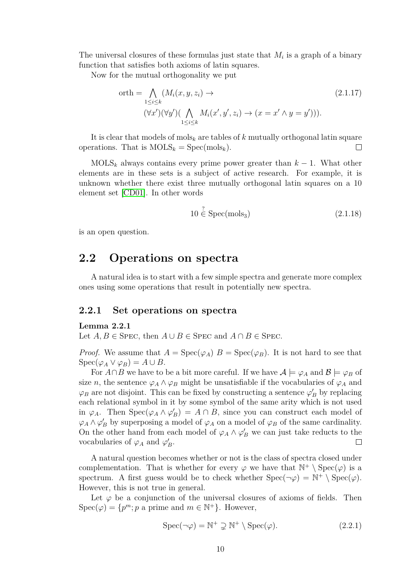The universal closures of these formulas just state that *M<sup>i</sup>* is a graph of a binary function that satisfies both axioms of latin squares.

Now for the mutual orthogonality we put

$$
\begin{aligned} \text{orth} &= \bigwedge_{1 \le i \le k} (M_i(x, y, z_i) \to \qquad (2.1.17) \\ & (\forall x') (\forall y') (\bigwedge_{1 \le i \le k} M_i(x', y', z_i) \to (x = x' \land y = y'))). \end{aligned}
$$

It is clear that models of mols*<sup>k</sup>* are tables of *k* mutually orthogonal latin square operations. That is  $MOLS_k = Spec(mols_k)$ .  $\Box$ 

 $MOLS_k$  always contains every prime power greater than  $k-1$ . What other elements are in these sets is a subject of active research. For example, it is unknown whether there exist three mutually orthogonal latin squares on a 10 element set [\[CD01\]](#page-28-11). In other words

$$
10 \stackrel{?}{\in} \text{Spec}(\text{mols}_3) \tag{2.1.18}
$$

is an open question.

### <span id="page-13-0"></span>**2.2 Operations on spectra**

A natural idea is to start with a few simple spectra and generate more complex ones using some operations that result in potentially new spectra.

#### <span id="page-13-1"></span>**2.2.1 Set operations on spectra**

#### **Lemma 2.2.1**

Let  $A, B \in$  Spec, then  $A \cup B \in$  Spec and  $A \cap B \in$  Spec.

*Proof.* We assume that  $A = \text{Spec}(\varphi_A)$   $B = \text{Spec}(\varphi_B)$ . It is not hard to see that  $Spec(\varphi_A \vee \varphi_B) = A \cup B$ .

For  $A \cap B$  we have to be a bit more careful. If we have  $A \models \varphi_A$  and  $B \models \varphi_B$  of size *n*, the sentence  $\varphi_A \wedge \varphi_B$  might be unsatisfiable if the vocabularies of  $\varphi_A$  and  $\varphi_B$  are not disjoint. This can be fixed by constructing a sentence  $\varphi'_B$  by replacing each relational symbol in it by some symbol of the same arity which is not used in  $\varphi_A$ . Then  $Spec(\varphi_A \wedge \varphi_B') = A \cap B$ , since you can construct each model of  $\varphi_A \wedge \varphi'_B$  by superposing a model of  $\varphi_A$  on a model of  $\varphi_B$  of the same cardinality. On the other hand from each model of  $\varphi_A \wedge \varphi'_B$  we can just take reducts to the vocabularies of  $\varphi_A$  and  $\varphi'_B$ . П

A natural question becomes whether or not is the class of spectra closed under complementation. That is whether for every  $\varphi$  we have that  $\mathbb{N}^+ \setminus \text{Spec}(\varphi)$  is a spectrum. A first guess would be to check whether  $Spec(\neg \varphi) = \mathbb{N}^+ \setminus Spec(\varphi)$ . However, this is not true in general.

Let  $\varphi$  be a conjunction of the universal closures of axioms of fields. Then  $Spec(\varphi) = \{p^m; p \text{ a prime and } m \in \mathbb{N}^+\}.$  However,

$$
Spec(\neg \varphi) = \mathbb{N}^+ \supsetneq \mathbb{N}^+ \setminus Spec(\varphi).
$$
 (2.2.1)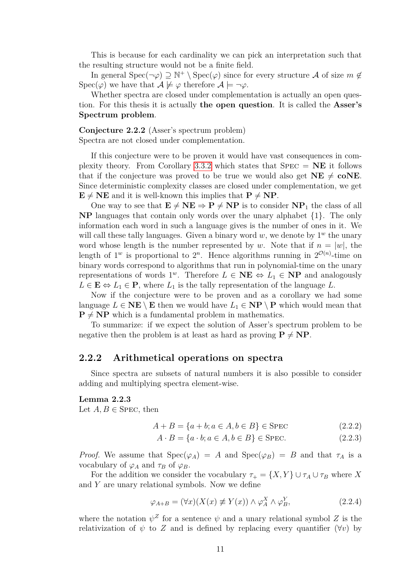This is because for each cardinality we can pick an interpretation such that the resulting structure would not be a finite field.

In general Spec( $\neg \varphi$ )  $\supseteq \mathbb{N}^+ \setminus \text{Spec}(\varphi)$  since for every structure A of size  $m \notin \mathbb{N}$  $Spec(\varphi)$  we have that  $\mathcal{A} \not\models \varphi$  therefore  $\mathcal{A} \models \neg \varphi$ .

Whether spectra are closed under complementation is actually an open question. For this thesis it is actually **the open question**. It is called the **Asser's Spectrum problem**.

**Conjecture 2.2.2** (Asser's spectrum problem) Spectra are not closed under complementation.

If this conjecture were to be proven it would have vast consequences in com-plexity theory. From Corollary [3.3.2](#page-25-1) which states that  $SPEC = NE$  it follows that if the conjecture was proved to be true we would also get  $NE \neq \text{coNE}$ . Since deterministic complexity classes are closed under complementation, we get  $\mathbf{E} \neq \mathbf{NE}$  and it is well-known this implies that  $\mathbf{P} \neq \mathbf{NP}$ .

One way to see that  $\mathbf{E} \neq \mathbf{NE} \Rightarrow \mathbf{P} \neq \mathbf{NP}$  is to consider  $\mathbf{NP}_1$  the class of all **NP** languages that contain only words over the unary alphabet {1}. The only information each word in such a language gives is the number of ones in it. We will call these tally languages. Given a binary word  $w$ , we denote by  $1^w$  the unary word whose length is the number represented by *w*. Note that if  $n = |w|$ , the length of  $1^w$  is proportional to  $2^n$ . Hence algorithms running in  $2^{\mathcal{O}(n)}$ -time on binary words correspond to algorithms that run in polynomial-time on the unary representations of words  $1^w$ . Therefore  $L \in \mathbf{NE} \Leftrightarrow L_1 \in \mathbf{NP}$  and analogously  $L \in \mathbf{E} \Leftrightarrow L_1 \in \mathbf{P}$ , where  $L_1$  is the tally representation of the language *L*.

Now if the conjecture were to be proven and as a corollary we had some language  $L \in \mathbf{NE} \setminus \mathbf{E}$  then we would have  $L_1 \in \mathbf{NP} \setminus \mathbf{P}$  which would mean that  $P \neq NP$  which is a fundamental problem in mathematics.

To summarize: if we expect the solution of Asser's spectrum problem to be negative then the problem is at least as hard as proving  $P \neq NP$ .

#### <span id="page-14-0"></span>**2.2.2 Arithmetical operations on spectra**

Since spectra are subsets of natural numbers it is also possible to consider adding and multiplying spectra element-wise.

#### **Lemma 2.2.3**

Let  $A, B \in$  SPEC, then

$$
A + B = \{a + b; a \in A, b \in B\} \in \text{SPEC} \tag{2.2.2}
$$

$$
A \cdot B = \{a \cdot b; a \in A, b \in B\} \in \text{SPEC.} \tag{2.2.3}
$$

*Proof.* We assume that  $Spec(\varphi_A) = A$  and  $Spec(\varphi_B) = B$  and that  $\tau_A$  is a vocabulary of  $\varphi_A$  and  $\tau_B$  of  $\varphi_B$ .

For the addition we consider the vocabulary  $\tau_{+} = \{X, Y\} \cup \tau_A \cup \tau_B$  where *X* and *Y* are unary relational symbols. Now we define

$$
\varphi_{A+B} = (\forall x)(X(x) \not\equiv Y(x)) \land \varphi_A^X \land \varphi_B^Y,\tag{2.2.4}
$$

where the notation  $\psi^Z$  for a sentence  $\psi$  and a unary relational symbol *Z* is the relativization of  $\psi$  to Z and is defined by replacing every quantifier ( $\forall v$ ) by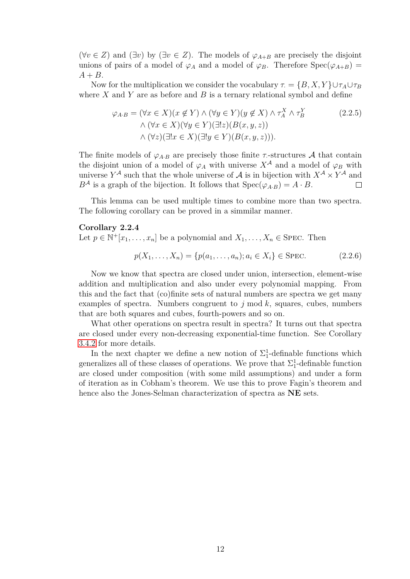( $\forall v \in Z$ ) and ( $\exists v$ ) by ( $\exists v \in Z$ ). The models of  $\varphi_{A+B}$  are precisely the disjoint unions of pairs of a model of  $\varphi_A$  and a model of  $\varphi_B$ . Therefore  $Spec(\varphi_{A+B})$  $A + B$ .

Now for the multiplication we consider the vocabulary  $\tau = \{B, X, Y\} \cup \tau_A \cup \tau_B$ where *X* and *Y* are as before and *B* is a ternary relational symbol and define

$$
\varphi_{A \cdot B} = (\forall x \in X)(x \notin Y) \land (\forall y \in Y)(y \notin X) \land \tau_A^X \land \tau_B^Y
$$
  
\n
$$
\land (\forall x \in X)(\forall y \in Y)(\exists!z)(B(x, y, z))
$$
  
\n
$$
\land (\forall z)(\exists!x \in X)(\exists!y \in Y)(B(x, y, z))).
$$
\n(2.2.5)

The finite models of  $\varphi_{A,B}$  are precisely those finite *τ*-structures A that contain the disjoint union of a model of  $\varphi_A$  with universe  $X^{\mathcal{A}}$  and a model of  $\varphi_B$  with universe  $Y^{\mathcal{A}}$  such that the whole universe of  $\mathcal{A}$  is in bijection with  $X^{\mathcal{A}} \times Y^{\mathcal{A}}$  and  $B^{\mathcal{A}}$  is a graph of the bijection. It follows that  $Spec(\varphi_{A,B}) = A \cdot B$ . П

This lemma can be used multiple times to combine more than two spectra. The following corollary can be proved in a simmilar manner.

#### **Corollary 2.2.4**

Let  $p \in \mathbb{N}^+[x_1,\ldots,x_n]$  be a polynomial and  $X_1,\ldots,X_n \in \text{Spec}$ . Then

$$
p(X_1, ..., X_n) = \{p(a_1, ..., a_n); a_i \in X_i\} \in \text{SPEC.}
$$
\n(2.2.6)

Now we know that spectra are closed under union, intersection, element-wise addition and multiplication and also under every polynomial mapping. From this and the fact that (co)finite sets of natural numbers are spectra we get many examples of spectra. Numbers congruent to *j* mod *k*, squares, cubes, numbers that are both squares and cubes, fourth-powers and so on.

What other operations on spectra result in spectra? It turns out that spectra are closed under every non-decreasing exponential-time function. See Corollary [3.4.2](#page-26-0) for more details.

In the next chapter we define a new notion of  $\Sigma_1^1$ -definable functions which generalizes all of these classes of operations. We prove that  $\Sigma_1^1$ -definable function are closed under composition (with some mild assumptions) and under a form of iteration as in Cobham's theorem. We use this to prove Fagin's theorem and hence also the Jones-Selman characterization of spectra as **NE** sets.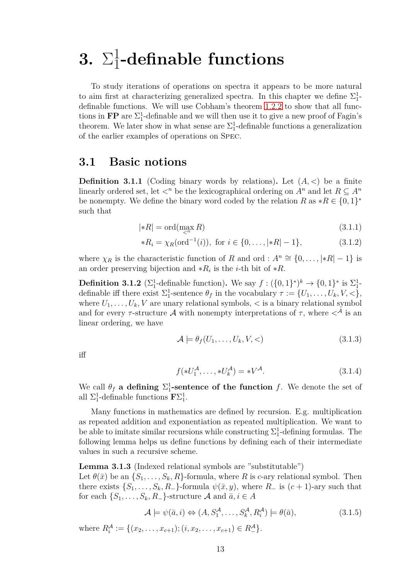## <span id="page-16-0"></span>**3.**  $\Sigma_1^1$ 1 **-definable functions**

To study iterations of operations on spectra it appears to be more natural to aim first at characterizing generalized spectra. In this chapter we define  $\Sigma_1^1$ definable functions. We will use Cobham's theorem [1.2.2](#page-8-1) to show that all functions in  $\mathbf{FP}$  are  $\Sigma_1^1$ -definable and we will then use it to give a new proof of Fagin's theorem. We later show in what sense are  $\Sigma_1^1$ -definable functions a generalization of the earlier examples of operations on Spec.

### <span id="page-16-1"></span>**3.1 Basic notions**

**Definition 3.1.1** (Coding binary words by relations). Let  $(A, \leq)$  be a finite linearly ordered set, let  $\langle n \rangle$  be the lexicographical ordering on  $A^n$  and let  $R \subseteq A^n$ be nonempty. We define the binary word coded by the relation  $R$  as  $*R \in \{0,1\}^*$ such that

$$
|\ast R| = \text{ord}(\max_{\lt^m} R) \tag{3.1.1}
$$

$$
*R_i = \chi_R(\text{ord}^{-1}(i)), \text{ for } i \in \{0, \dots, |*R|-1\},\tag{3.1.2}
$$

where  $\chi_R$  is the characteristic function of *R* and ord :  $A^n \cong \{0, \ldots, |*R|-1\}$  is an order preserving bijection and  $*R_i$  is the *i*-th bit of  $*R$ .

**Definition 3.1.2** ( $\Sigma_1^1$ -definable function). We say  $f: (\{0,1\}^*)^k \to \{0,1\}^*$  is  $\Sigma_1^1$ definable iff there exist  $\Sigma_1^1$ -sentence  $\theta_f$  in the vocabulary  $\tau := \{U_1, \ldots, U_k, V, \langle\}$ , where  $U_1, \ldots, U_k, V$  are unary relational symbols,  $\lt$  is a binary relational symbol and for every  $\tau$ -structure A with nonempty interpretations of  $\tau$ , where  $\lt^{\mathcal{A}}$  is an linear ordering, we have

$$
\mathcal{A} \models \theta_f(U_1, \dots, U_k, V, <) \tag{3.1.3}
$$

iff

$$
f(*U_1^{\mathcal{A}}, \dots, *U_k^{\mathcal{A}}) = *V^{\mathcal{A}}.
$$
\n(3.1.4)

We call  $\theta_f$  **a defining**  $\Sigma_1^1$ -sentence of the function f. We denote the set of all  $\Sigma_1^1$ -definable functions  $\mathbf{F}\Sigma_1^1$ .

Many functions in mathematics are defined by recursion. E.g. multiplication as repeated addition and exponentiation as repeated multiplication. We want to be able to imitate similar recursions while constructing  $\Sigma^1_1$ -defining formulas. The following lemma helps us define functions by defining each of their intermediate values in such a recursive scheme.

<span id="page-16-3"></span>**Lemma 3.1.3** (Indexed relational symbols are "substitutable")

Let  $\theta(\bar{x})$  be an  $\{S_1, \ldots, S_k, R\}$ -formula, where *R* is *c*-ary relational symbol. Then there exists  $\{S_1, \ldots, S_k, R_-\}$ -formula  $\psi(\bar{x}, y)$ , where  $R_-$  is  $(c+1)$ -ary such that for each  $\{S_1, \ldots, S_k, R_-\}$ -structure A and  $\bar{a}, i \in A$ 

<span id="page-16-2"></span>
$$
\mathcal{A} \models \psi(\bar{a}, i) \Leftrightarrow (A, S_1^{\mathcal{A}}, \dots, S_k^{\mathcal{A}}, R_i^{\mathcal{A}}) \models \theta(\bar{a}), \tag{3.1.5}
$$

where  $R_i^{\mathcal{A}} := \{(x_2, \ldots, x_{c+1}); (i, x_2, \ldots, x_{c+1}) \in R_-^{\mathcal{A}}\}.$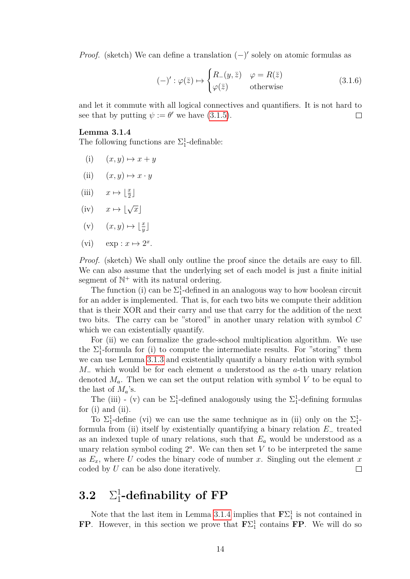*Proof.* (sketch) We can define a translation  $(-)'$  solely on atomic formulas as

$$
(-)' : \varphi(\bar{z}) \mapsto \begin{cases} R_{-}(y, \bar{z}) & \varphi = R(\bar{z}) \\ \varphi(\bar{z}) & \text{otherwise} \end{cases}
$$
 (3.1.6)

and let it commute with all logical connectives and quantifiers. It is not hard to see that by putting  $\psi := \theta'$  we have [\(3.1.5\)](#page-16-2).  $\Box$ 

#### <span id="page-17-1"></span>**Lemma 3.1.4**

The following functions are  $\Sigma_1^1$ -definable:

- $(i)$   $(x, y) \mapsto x + y$
- (ii)  $(x, y) \mapsto x \cdot y$
- (iii)  $x \mapsto \lfloor \frac{x}{2} \rfloor$
- $(iv)$   $x \mapsto |\sqrt{x}|$
- $(v)$   $(x, y) \mapsto \lfloor \frac{x}{y} \rfloor$
- (vi)  $\exp: x \mapsto 2^x$ .

*Proof.* (sketch) We shall only outline the proof since the details are easy to fill. We can also assume that the underlying set of each model is just a finite initial segment of  $\mathbb{N}^+$  with its natural ordering.

The function (i) can be  $\Sigma_1^1$ -defined in an analogous way to how boolean circuit for an adder is implemented. That is, for each two bits we compute their addition that is their XOR and their carry and use that carry for the addition of the next two bits. The carry can be "stored" in another unary relation with symbol *C* which we can existentially quantify.

For (ii) we can formalize the grade-school multiplication algorithm. We use the  $\Sigma_1^1$ -formula for (i) to compute the intermediate results. For "storing" them we can use Lemma [3.1.3](#page-16-3) and existentially quantify a binary relation with symbol *M*<sup>−</sup> which would be for each element *a* understood as the *a*-th unary relation denoted  $M_a$ . Then we can set the output relation with symbol  $V$  to be equal to the last of  $M_a$ 's.

The (iii) - (v) can be  $\Sigma_1^1$ -defined analogously using the  $\Sigma_1^1$ -defining formulas for (i) and (ii).

To  $\Sigma_1^1$ -define (vi) we can use the same technique as in (ii) only on the  $\Sigma_1^1$ formula from (ii) itself by existentially quantifying a binary relation *E*<sup>−</sup> treated as an indexed tuple of unary relations, such that *E<sup>a</sup>* would be understood as a unary relation symbol coding  $2^a$ . We can then set  $V$  to be interpreted the same as  $E_x$ , where U codes the binary code of number x. Singling out the element x coded by *U* can be also done iteratively.  $\Box$ 

#### <span id="page-17-0"></span>**3.2** Σ 1 1 **-definability of FP**

Note that the last item in Lemma [3.1.4](#page-17-1) implies that  $\mathbf{F}\Sigma_1^1$  is not contained in **FP**. However, in this section we prove that  $\mathbf{F} \Sigma_1^1$  contains **FP**. We will do so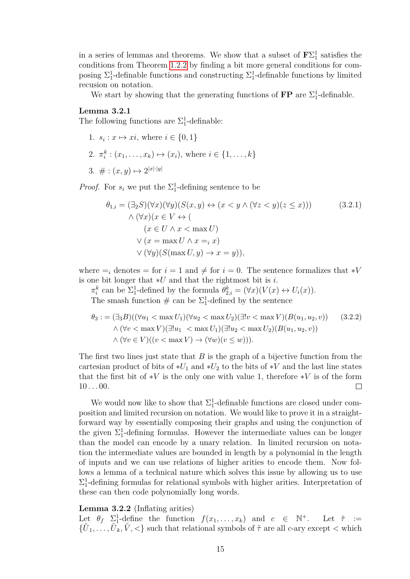in a series of lemmas and theorems. We show that a subset of  $\mathbf{F}\Sigma_1^1$  satisfies the conditions from Theorem [1.2.2](#page-8-1) by finding a bit more general conditions for composing  $\Sigma_1^1$ -definable functions and constructing  $\Sigma_1^1$ -definable functions by limited recusion on notation.

We start by showing that the generating functions of  $\mathbf{FP}$  are  $\Sigma_1^1$ -definable.

#### <span id="page-18-1"></span>**Lemma 3.2.1**

The following functions are  $\Sigma_1^1$ -definable:

1.  $s_i: x \mapsto xi$ , where  $i \in \{0, 1\}$ 2.  $\pi_i^k : (x_1, \ldots, x_k) \mapsto (x_i)$ , where  $i \in \{1, \ldots, k\}$ 3.  $\#:(x,y)\mapsto 2^{|x|\cdot|y|}$ 

*Proof.* For  $s_i$  we put the  $\Sigma_1^1$ -defining sentence to be

$$
\theta_{1,i} = (\exists_2 S)(\forall x)(\forall y)(S(x, y) \leftrightarrow (x < y \land (\forall z < y)(z \le x)))
$$
\n
$$
\land (\forall x)(x \in V \leftrightarrow (\forall x < y \land (\forall z < y)(z \le x)))
$$
\n
$$
\lor (\forall x)(x \in U \land x < \text{max } U)
$$
\n
$$
\lor (x = \text{max } U \land x =_i x)
$$
\n
$$
\lor (\forall y)(S(\text{max } U, y) \rightarrow x = y)),
$$
\n(3.2.1)

where  $=$ <sub>*i*</sub> denotes = for  $i = 1$  and  $\neq$  for  $i = 0$ . The sentence formalizes that  $*V$ is one bit longer that ∗*U* and that the rightmost bit is *i*.

 $\pi_i^k$  can be  $\Sigma_1^1$ -defined by the formula  $\theta_{2,i}^k = (\forall x)(V(x) \leftrightarrow U_i(x)).$ The smash function  $\#$  can be  $\Sigma_1^1$ -defined by the sentence

$$
\theta_3 := (\exists_3 B)((\forall u_1 < \max U_1)(\forall u_2 < \max U_2)(\exists! v < \max V)(B(u_1, u_2, v)) \qquad (3.2.2)
$$
\n
$$
\wedge (\forall v < \max V)(\exists! u_1 < \max U_1)(\exists! u_2 < \max U_2)(B(u_1, u_2, v))
$$
\n
$$
\wedge (\forall v \in V)((v < \max V) \to (\forall w)(v \le w))).
$$

The first two lines just state that *B* is the graph of a bijective function from the cartesian product of bits of  $*U_1$  and  $*U_2$  to the bits of  $*V$  and the last line states that the first bit of  $*V$  is the only one with value 1, therefore  $*V$  is of the form  $10...00.$  $\Box$ 

We would now like to show that  $\Sigma_1^1$ -definable functions are closed under composition and limited recursion on notation. We would like to prove it in a straightforward way by essentially composing their graphs and using the conjunction of the given  $\Sigma_1^1$ -defining formulas. However the intermediate values can be longer than the model can encode by a unary relation. In limited recursion on notation the intermediate values are bounded in length by a polynomial in the length of inputs and we can use relations of higher arities to encode them. Now follows a lemma of a technical nature which solves this issue by allowing us to use  $\Sigma_1^1$ -defining formulas for relational symbols with higher arities. Interpretation of these can then code polynomially long words.

#### <span id="page-18-0"></span>**Lemma 3.2.2** (Inflating arities)

Let  $\theta_f$   $\sum_{1}^1$ -define the function  $f(x_1, \ldots, x_k)$  and  $c \in \mathbb{N}$ Let  $\tilde{\tau}$  :=  $\{\tilde{U}_1, \ldots, \tilde{U}_k, \tilde{V}, \leq \}$  such that relational symbols of  $\tilde{\tau}$  are all *c*-ary except  $\leq$  which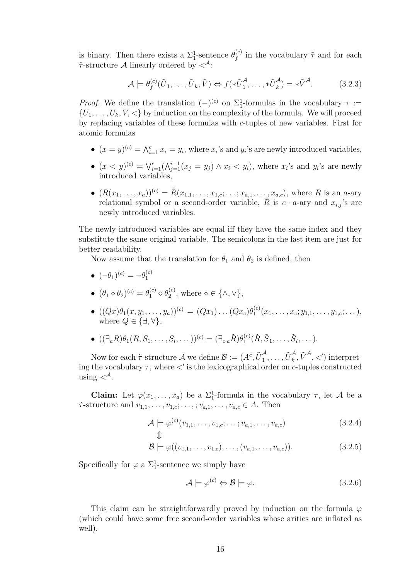is binary. Then there exists a  $\Sigma_1^1$ -sentence  $\theta_f^{(c)}$  $f_f^{(c)}$  in the vocabulary  $\tilde{\tau}$  and for each *τ*˜-structure A linearly ordered by *<*<sup>A</sup>:

$$
\mathcal{A} \models \theta_f^{(c)}(\tilde{U}_1, \dots, \tilde{U}_k, \tilde{V}) \Leftrightarrow f(*\tilde{U}_1^{\mathcal{A}}, \dots, *\tilde{U}_k^{\mathcal{A}}) = *\tilde{V}^{\mathcal{A}}.
$$
 (3.2.3)

*Proof.* We define the translation  $(-)^{(c)}$  on  $\Sigma_1^1$ -formulas in the vocabulary  $\tau :=$  ${U_1, \ldots, U_k, V, \lt}$  by induction on the complexity of the formula. We will proceed by replacing variables of these formulas with *c*-tuples of new variables. First for atomic formulas

- $(x = y)^{(c)} = \bigwedge_{i=1}^{c} x_i = y_i$ , where  $x_i$ 's and  $y_i$ 's are newly introduced variables,
- $(x < y)^{(c)} = \sqrt{c} \cdot \frac{\lambda^{i-1}}{i} (x_j = y_j) \wedge x_i \langle y_i, y_i \rangle$ , where  $x_i$ 's and  $y_i$ 's are newly introduced variables,
- $\bullet$   $(R(x_1, \ldots, x_a))^{(c)} = \tilde{R}(x_{1,1}, \ldots, x_{1,c}; \ldots; x_{a,1}, \ldots, x_{a,c})$ , where *R* is an *a*-ary relational symbol or a second-order variable,  $\ddot{R}$  is  $c \cdot a$ -ary and  $x_{i,j}$ 's are newly introduced variables.

The newly introduced variables are equal iff they have the same index and they substitute the same original variable. The semicolons in the last item are just for better readability.

Now assume that the translation for  $\theta_1$  and  $\theta_2$  is defined, then

- $\bullet$   $(\neg \theta_1)^{(c)} = \neg \theta_1^{(c)}$ 1
- $\bullet \ (\theta_1 \diamond \theta_2)^{(c)} = \theta_1^{(c)} \diamond \theta_2^{(c)}$  $_{2}^{(c)}$ , where  $\diamond \in \{\wedge, \vee\},\$
- $\bullet$   $((Qx)\theta_1(x,y_1,\ldots,y_a))^{(c)} = (Qx_1)\ldots (Qx_c)\theta_1^{(c)}$  $x_1^{(c)}(x_1,\ldots,x_c;y_{1,1},\ldots,y_{1,c};\ldots),$ where  $Q \in \{\exists, \forall\}$ ,
- $\bullet$  ((∃*aR*) $\theta_1$ (*R, S*<sub>1</sub>*, . . . , S*<sub>*l*</sub>, . . . ))<sup>(*c*)</sup> = (∃*c*·*aR*) $\theta_1^{(c)}$  $J_1^{(c)}(\tilde{R}, \tilde{S}_1, \ldots, \tilde{S}_l, \ldots).$

Now for each  $\tilde{\tau}$ -structure A we define  $\mathcal{B} := (A^c, \tilde{U}_1^A)$  $\frac{\mathcal{A}}{1}, \ldots, \tilde{U}^{\mathcal{A}}_k$  $\int_{k}^{\mathcal{A}}, \tilde{V}^{\mathcal{A}}, <')$  interpreting the vocabulary *τ* , where *<*′ is the lexicographical order on *c*-tuples constructed using  $\langle \nabla^{\mathcal{A}} \rangle$ .

**Claim:** Let  $\varphi(x_1, \ldots, x_a)$  be a  $\Sigma_1^1$ -formula in the vocabulary  $\tau$ , let A be a  $\tilde{\tau}$ -structure and  $v_{1,1}, \ldots, v_{1,c}; \ldots, v_{a,1}, \ldots, v_{a,c} \in A$ . Then

$$
\mathcal{A} \models \varphi^{(c)}(v_{1,1}, \dots, v_{1,c}; \dots; v_{a,1}, \dots, v_{a,c})
$$
\n
$$
\updownarrow \tag{3.2.4}
$$

$$
\mathcal{B} \models \varphi((v_{1,1},\ldots,v_{1,c}),\ldots,(v_{a,1},\ldots,v_{a,c})).
$$
\n(3.2.5)

Specifically for  $\varphi$  a  $\Sigma_1^1$ -sentence we simply have

$$
\mathcal{A} \models \varphi^{(c)} \Leftrightarrow \mathcal{B} \models \varphi. \tag{3.2.6}
$$

This claim can be straightforwardly proved by induction on the formula *φ* (which could have some free second-order variables whose arities are inflated as well).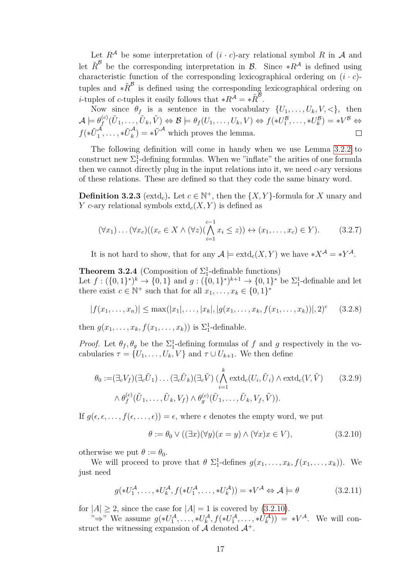Let  $R^{\mathcal{A}}$  be some interpretation of  $(i \cdot c)$ -ary relational symbol  $R$  in  $\mathcal{A}$  and let  $\tilde{R}^{\mathcal{B}}$  be the corresponding interpretation in  $\mathcal{B}$ . Since  $*R^{\mathcal{A}}$  is defined using characteristic function of the corresponding lexicographical ordering on  $(i \cdot c)$ tuples and  $*{\tilde R}^{\cal B}$  is defined using the corresponding lexicographical ordering on *i*-tuples of *c*-tuples it easily follows that  $*R^A = *R^B$ .

Now since  $\theta_f$  is a sentence in the vocabulary  $\{U_1, \ldots, U_k, V, \leq \}$ , then  $\mathcal{A} \models \theta_{f}^{(c)}$  $f_f^{(c)}(\tilde{U}_1, \ldots, \tilde{U}_k, \tilde{V}) \Leftrightarrow \mathcal{B} \models \theta_f(U_1, \ldots, U_k, V) \Leftrightarrow f(*U_1^{\mathcal{B}}, \ldots, *U_k^{\mathcal{B}}) = *V^{\mathcal{B}} \Leftrightarrow$  $f(*\tilde{U}^{\mathcal{A}}_1)$  $\tilde{U}_1^{\mathcal{A}}, \ldots, *\tilde{U}_k^{\mathcal{A}}$  $\mathcal{L}_{k}^{\mathcal{A}}$  =  $*\tilde{V}^{\mathcal{A}}$  which proves the lemma.

The following definition will come in handy when we use Lemma [3.2.2](#page-18-0) to construct new  $\Sigma_1^1$ -defining formulas. When we "inflate" the arities of one formula then we cannot directly plug in the input relations into it, we need *c*-ary versions of these relations. These are defined so that they code the same binary word.

**Definition 3.2.3** (extd<sub>c</sub>). Let  $c \in \mathbb{N}^+$ , then the  $\{X, Y\}$ -formula for *X* unary and *Y c*-ary relational symbols extd*c*(*X, Y* ) is defined as

$$
(\forall x_1)\dots(\forall x_c)((x_c \in X \land (\forall z)(\bigwedge_{i=1}^{c-1} x_i \le z)) \leftrightarrow (x_1,\dots,x_c) \in Y).
$$
 (3.2.7)

It is not hard to show, that for any  $\mathcal{A} \models \text{extd}_{c}(X, Y)$  we have  $*X^{\mathcal{A}} = *Y^{\mathcal{A}}$ .

<span id="page-20-1"></span>**Theorem 3.2.4** (Composition of  $\Sigma_1^1$ -definable functions) Let  $f: (\{0,1\}^*)^k \to \{0,1\}$  and  $g: (\{0,1\}^*)^{k+1} \to \{0,1\}^*$  be  $\Sigma_1^1$ -definable and let there exist  $c \in \mathbb{N}^+$  such that for all  $x_1, \ldots, x_k \in \{0,1\}^*$ 

$$
|f(x_1,\ldots,x_n)| \leq \max(|x_1|,\ldots,|x_k|,|g(x_1,\ldots,x_k,f(x_1,\ldots,x_k))|,2)^c \quad (3.2.8)
$$

then  $g(x_1, \ldots, x_k, f(x_1, \ldots, x_k))$  is  $\Sigma_1^1$ -definable.

*Proof.* Let  $\theta_f$ ,  $\theta_g$  be the  $\Sigma_1^1$ -defining formulas of *f* and *g* respectively in the vocabularies  $\tau = \{U_1, \ldots, U_k, V\}$  and  $\tau \cup U_{k+1}$ . We then define

$$
\theta_0 := (\exists_c V_f)(\exists_c \tilde{U}_1) \dots (\exists_c \tilde{U}_k)(\exists_c \tilde{V}) \left(\bigwedge_{i=1}^k \text{extd}_c(U_i, \tilde{U}_i) \land \text{extd}_c(V, \tilde{V})\right) \quad (3.2.9)
$$

$$
\land \theta_f^{(c)}(\tilde{U}_1, \dots, \tilde{U}_k, V_f) \land \theta_g^{(c)}(\tilde{U}_1, \dots, \tilde{U}_k, V_f, \tilde{V})\right).
$$

If  $g(\epsilon, \epsilon, \ldots, f(\epsilon, \ldots, \epsilon)) = \epsilon$ , where  $\epsilon$  denotes the empty word, we put

<span id="page-20-0"></span>
$$
\theta := \theta_0 \vee ((\exists x)(\forall y)(x = y) \wedge (\forall x)x \in V), \tag{3.2.10}
$$

otherwise we put  $\theta := \theta_0$ .

We will proceed to prove that  $\theta \Sigma_1^1$ -defines  $g(x_1, \ldots, x_k, f(x_1, \ldots, x_k))$ . We just need

$$
g(*U_1^{\mathcal{A}}, \dots, *U_k^{\mathcal{A}}, f(*U_1^{\mathcal{A}}, \dots, *U_k^{\mathcal{A}})) = *V^{\mathcal{A}} \Leftrightarrow \mathcal{A} \models \theta \tag{3.2.11}
$$

for  $|A| > 2$ , since the case for  $|A| = 1$  is covered by  $(3.2.10)$ .

" $\Rightarrow$ " We assume  $g(*U_1^{\mathcal{A}}, \ldots, *U_k^{\mathcal{A}}, f(*U_1^{\mathcal{A}}, \ldots, *U_k^{\mathcal{A}})) = *V^{\mathcal{A}}$ . We will construct the witnessing expansion of  $\mathcal A$  denoted  $\mathcal A^+$ .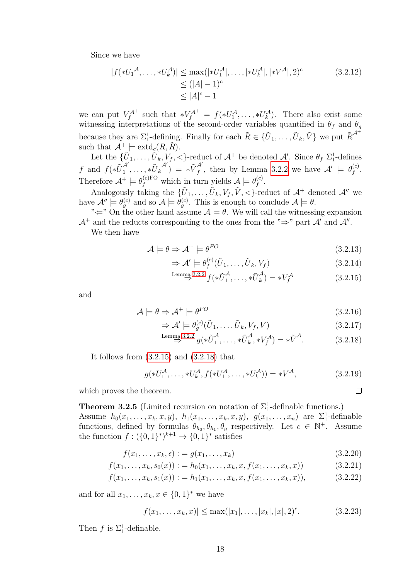Since we have

$$
|f(*U_1{}^{\mathcal{A}}, \dots, *U_k^{\mathcal{A}})| \le \max(|*U_1{}^{\mathcal{A}}|, \dots, *U_k{}^{\mathcal{A}}|, **V^{\mathcal{A}}|, **V^{\mathcal{A}}|, 2)^c
$$
\n
$$
\le (|A| - 1)^c
$$
\n
$$
\le |A|^c - 1
$$
\n(3.2.12)

we can put  $V_f^{\mathcal{A}^+}$  such that  $*V_f^{\mathcal{A}^+} = f(*U_1^{\mathcal{A}}, \ldots, *U_k^{\mathcal{A}})$ . There also exist some witnessing interpretations of the second-order variables quantified in  $\theta_f$  and  $\theta_g$ because they are  $\Sigma_1^1$ -defining. Finally for each  $\tilde{R} \in \{U_1, \ldots, \tilde{U}_k, \tilde{V}\}$  we put  $\tilde{R}^{\mathcal{A}^+}$ such that  $\mathcal{A}^+ \models \text{extd}_c(R, R)$ .

Let the  $\{\tilde{U}_1,\ldots,\tilde{U}_k,V_f,<\}$ -reduct of  $\mathcal{A}^+$  be denoted  $\mathcal{A}'$ . Since  $\theta_f$   $\Sigma_1^1$ -defines *f* and  $f(*\tilde{U}^{\mathcal{A}'}_1)$  $\frac{\mathcal{A}'}{1}, \ldots, *\tilde{U}_k$  $\begin{pmatrix} \mathcal{A}' \end{pmatrix} = * \tilde{V}^{\mathcal{A}'}_f$  $f^{\mathcal{A}'}$ , then by Lemma [3.2.2](#page-18-0) we have  $\mathcal{A}' \models \theta_f^{(c)}$ *f* . Therefore  $\mathcal{A}^+ \models \theta_f^{(c)FO}$  which in turn yields  $\mathcal{A} \models \theta_f^{(c)}$ *f* .

Analogously taking the  $\{U_1, \ldots, U_k, V_f, V, \leq\}$ -reduct of  $\mathcal{A}^+$  denoted  $\mathcal{A}''$  we have  $\mathcal{A}'' \models \theta_g^{(c)}$  and so  $\mathcal{A} \models \theta_g^{(c)}$ . This is enough to conclude  $\mathcal{A} \models \theta$ .

" $\Leftarrow$ " On the other hand assume  $\mathcal{A} \models \theta$ . We will call the witnessing expansion  $\mathcal{A}^+$  and the reducts corresponding to the ones from the " $\Rightarrow$ " part  $\mathcal{A}'$  and  $\mathcal{A}''$ .

We then have

$$
\mathcal{A} \models \theta \Rightarrow \mathcal{A}^+ \models \theta^{FO} \tag{3.2.13}
$$

$$
\Rightarrow \mathcal{A}' \models \theta_f^{(c)}(\tilde{U}_1, \dots, \tilde{U}_k, V_f) \tag{3.2.14}
$$

$$
\stackrel{\text{Lemma 3.2.2}}{\Rightarrow} f(*\tilde{U}_1^{\mathcal{A}}, \dots, *\tilde{U}_k^{\mathcal{A}}) = *V_f^{\mathcal{A}}
$$
\n(3.2.15)

and

$$
\mathcal{A} \models \theta \Rightarrow \mathcal{A}^+ \models \theta^{FO} \tag{3.2.16}
$$

$$
\Rightarrow \mathcal{A}' \models \theta_g^{(c)}(\tilde{U}_1, \dots, \tilde{U}_k, V_f, V) \tag{3.2.17}
$$

$$
\stackrel{\text{Lemma 3.2.2}}{\Rightarrow} g(*\tilde{U}_1^{\mathcal{A}}, \dots, *\tilde{U}_k^{\mathcal{A}}, *V_f^{\mathcal{A}}) = *\tilde{V}^{\mathcal{A}}.
$$
 (3.2.18)

It follows from  $(3.2.15)$  and  $(3.2.18)$  that

$$
g(*U_1^{\mathcal{A}}, \dots, *U_k^{\mathcal{A}}, f(*U_1^{\mathcal{A}}, \dots, *U_k^{\mathcal{A}})) = *V^{\mathcal{A}},\tag{3.2.19}
$$

which proves the theorem.

<span id="page-21-2"></span>**Theorem 3.2.5** (Limited recursion on notation of  $\Sigma_1^1$ -definable functions.)

Assume  $h_0(x_1, ..., x_k, x, y)$ ,  $h_1(x_1, ..., x_k, x, y)$ ,  $g(x_1, ..., x_n)$  are  $\Sigma_1^1$ -definable functions, defined by formulas  $\theta_{h_0}, \theta_{h_1}, \theta_g$  respectively. Let  $c \in \mathbb{N}^+$ . Assume the function  $f: (\{0,1\}^*)^{k+1} \to \{0,1\}^*$  satisfies

$$
f(x_1,\ldots,x_k,\epsilon) := g(x_1,\ldots,x_k) \tag{3.2.20}
$$

$$
f(x_1, \ldots, x_k, s_0(x)) := h_0(x_1, \ldots, x_k, x, f(x_1, \ldots, x_k, x))
$$
\n(3.2.21)

$$
f(x_1, \ldots, x_k, s_1(x)) := h_1(x_1, \ldots, x_k, x, f(x_1, \ldots, x_k, x)), \qquad (3.2.22)
$$

and for all  $x_1, ..., x_k, x \in \{0, 1\}^*$  we have

$$
|f(x_1, \ldots, x_k, x)| \le \max(|x_1|, \ldots, |x_k|, |x|, 2)^c. \tag{3.2.23}
$$

Then *f* is  $\Sigma_1^1$ -definable.

<span id="page-21-1"></span><span id="page-21-0"></span> $\Box$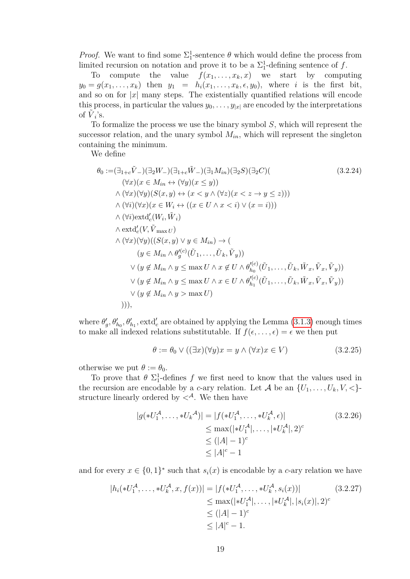*Proof.* We want to find some  $\Sigma_1^1$ -sentence  $\theta$  which would define the process from limited recursion on notation and prove it to be a  $\Sigma_1^1$ -defining sentence of f.

To compute the value  $f(x_1, \ldots, x_k, x)$  we start by computing  $y_0 = g(x_1, \ldots, x_k)$  then  $y_1 = h_i(x_1, \ldots, x_k, \epsilon, y_0)$ , where *i* is the first bit, and so on for  $|x|$  many steps. The existentially quantified relations will encode this process, in particular the values  $y_0, \ldots, y_{|x|}$  are encoded by the interpretations of  $\tilde{V}_i$ 's.

To formalize the process we use the binary symbol *S*, which will represent the successor relation, and the unary symbol  $M_{in}$ , which will represent the singleton containing the minimum.

We define

$$
\theta_0 := (\exists_{1+c} \tilde{V}_-) (\exists_2 W_-)(\exists_{1+c} \tilde{W}_-) (\exists_1 M_{in}) (\exists_2 S) (\exists_2 C) (
$$
\n
$$
(\forall x)(x \in M_{in} \leftrightarrow (\forall y)(x \le y))
$$
\n
$$
\wedge (\forall x)(\forall y)(S(x, y) \leftrightarrow (x < y \land (\forall z)(x < z \to y \le z)))
$$
\n
$$
\wedge (\forall i)(\forall x)(x \in W_i \leftrightarrow ((x \in U \land x < i) \lor (x = i)))
$$
\n
$$
\wedge (\forall i) \text{extd}'_c(W_i, \tilde{W}_i)
$$
\n
$$
\wedge \text{extd}'_c(V, \tilde{V}_{\text{max } U})
$$
\n
$$
\wedge (\forall x)(\forall y)((S(x, y) \lor y \in M_{in}) \to (\text{Var}(S(x, y) \lor y \in M_{in})) \to (\text{Var}(S(x, y) \lor y \in M_{in} \land \theta_{f_0}^{(c)}(\tilde{U}_1, \dots, \tilde{U}_k, \tilde{V}_y)))
$$
\n
$$
\vee (y \notin M_{in} \land y \le \max U \land x \notin U \land \theta_{h_0}^{(c)}(\tilde{U}_1, \dots, \tilde{U}_k, \tilde{W}_x, \tilde{V}_x, \tilde{V}_y))
$$
\n
$$
\vee (y \notin M_{in} \land y \le \max U \land x \in U \land \theta_{h_1}^{(c)}(\tilde{U}_1, \dots, \tilde{U}_k, \tilde{W}_x, \tilde{V}_x, \tilde{V}_y)))
$$
\n
$$
\vee (y \notin M_{in} \land y > \max U)
$$
\n
$$
))))
$$

where  $\theta'_{g}, \theta'_{h_0}, \theta'_{h_1}, \text{extd}'_c$  are obtained by applying the Lemma [\(3.1.3\)](#page-16-3) enough times to make all indexed relations substitutable. If  $f(\epsilon, \ldots, \epsilon) = \epsilon$  we then put

<span id="page-22-1"></span><span id="page-22-0"></span>
$$
\theta := \theta_0 \vee ((\exists x)(\forall y)x = y \wedge (\forall x)x \in V) \tag{3.2.25}
$$

otherwise we put  $\theta := \theta_0$ .

To prove that  $\theta \Sigma_1^1$ -defines f we first need to know that the values used in the recursion are encodable by a *c*-ary relation. Let A be an  $\{U_1, \ldots, U_k, V, \leq\}$ structure linearly ordered by  $\langle A \rangle$ . We then have

<span id="page-22-2"></span>
$$
|g(*U_1^{\mathcal{A}}, \dots, *U_k^{\mathcal{A}})| = |f(*U_1^{\mathcal{A}}, \dots, *U_k^{\mathcal{A}}, \epsilon)|
$$
  
\n
$$
\leq \max(|*U_1^{\mathcal{A}}|, \dots, *U_k^{\mathcal{A}}|, 2)^c
$$
  
\n
$$
\leq (|A| - 1)^c
$$
  
\n
$$
\leq |A|^c - 1
$$
\n(3.2.26)

and for every  $x \in \{0,1\}^*$  such that  $s_i(x)$  is encodable by a *c*-ary relation we have

$$
|h_i(*U_1^{\mathcal{A}}, \dots, *U_k^{\mathcal{A}}, x, f(x))| = |f(*U_1^{\mathcal{A}}, \dots, *U_k^{\mathcal{A}}, s_i(x))|
$$
  
\n
$$
\leq \max(|*U_1^{\mathcal{A}}|, \dots, *U_k^{\mathcal{A}}|, |s_i(x)|, 2)^c
$$
  
\n
$$
\leq (|A| - 1)^c
$$
  
\n
$$
\leq |A|^c - 1.
$$
\n(3.2.27)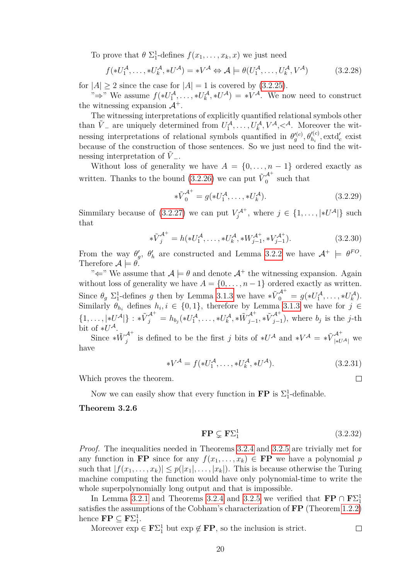To prove that  $\theta \Sigma_1^1$ -defines  $f(x_1, \ldots, x_k, x)$  we just need

$$
f(*U_1^{\mathcal{A}}, \dots, *U_k^{\mathcal{A}}, *U^{\mathcal{A}}) = *V^{\mathcal{A}} \Leftrightarrow \mathcal{A} \models \theta(U_1^{\mathcal{A}}, \dots, U_k^{\mathcal{A}}, V^{\mathcal{A}})
$$
(3.2.28)

for  $|A| \ge 2$  since the case for  $|A| = 1$  is covered by  $(3.2.25)$ .

" $\Rightarrow$ " We assume  $f(*U_1^{\mathcal{A}}, \ldots, *U_k^{\mathcal{A}}, *U^{\mathcal{A}}) = *V^{\mathcal{A}}$ . We now need to construct the witnessing expansion  $\mathcal{A}^+$ .

The witnessing interpretations of explicitly quantified relational symbols other than  $\tilde{V}$  – are uniquely determined from  $U_1^{\mathcal{A}}, \ldots, U_k^{\mathcal{A}}, V^{\mathcal{A}}, \lt^{\mathcal{A}}$ . Moreover the witnessing interpretations of relational symbols quantified in  $\theta_g^{\prime(c)}, \theta_{h_i}^{\prime(c)}, \text{extd}_c^{\prime}$  exist because of the construction of those sentences. So we just need to find the witnessing interpretation of  $\tilde{V}$ <sub>-</sub>.

Without loss of generality we have  $A = \{0, \ldots, n-1\}$  ordered exactly as written. Thanks to the bound  $(3.2.26)$  we can put  $\tilde{V}_0^{A^+}$  $\int_0^\infty$  such that

$$
\ast \tilde{V}_0^{\mathcal{A}^+} = g(\ast U_1^{\mathcal{A}}, \dots, \ast U_k^{\mathcal{A}}). \tag{3.2.29}
$$

Simmilary because of [\(3.2.27\)](#page-22-2) we can put  $V_j^{\mathcal{A}^+}$ , where  $j \in \{1, \ldots, |*U^{\mathcal{A}}|\}$  such that

$$
\ast \tilde{V}_j^{A^+} = h(\ast U_1^A, \dots, \ast U_k^A, \ast W_{j-1}^{A^+}, \ast V_{j-1}^{A^+}). \tag{3.2.30}
$$

From the way  $\theta'_{g}$ ,  $\theta'_{h}$  are constructed and Lemma [3.2.2](#page-18-0) we have  $\mathcal{A}^{+} \models \theta^{FO}$ . Therefore  $\mathcal{A} \models \theta$ .

" $\Leftarrow$ " We assume that  $\mathcal{A} \models \theta$  and denote  $\mathcal{A}^+$  the witnessing expansion. Again without loss of generality we have  $A = \{0, \ldots, n-1\}$  ordered exactly as written. Since  $\theta_g \Sigma_1^1$ -defines *g* then by Lemma [3.1.3](#page-16-3) we have  $*\tilde{V}_0^{A^+} = g(*U_1^A, \ldots, *U_k^A)$ . Similarly  $\theta_{h_i}$  defines  $h_i, i \in \{0,1\}$ , therefore by Lemma [3.1.3](#page-16-3) we have for  $j \in$  $\{1,\ldots,|*U^{\mathcal{A}}|\}: * \tilde{V}^{\mathcal{A}^+}_{j} = h_{b_j}(*U^{\mathcal{A}}_1,\ldots, *U^{\mathcal{A}}_k, *\tilde{W}^{\mathcal{A}^+}_{j-1}\}$  $\tilde{\cal U}_{j-1}^{\cal A^+}, * \tilde{\cal V}_{j-1}^{\cal A^+}$  $\sum_{j=1}^{N}$ , where *b<sub>j</sub>* is the *j*-th bit of  $*U^{\mathcal{A}}$ .

Since  $* \tilde{W}^{\mathcal{A}^+}_i$  $j^{A^+}$  is defined to be the first *j* bits of  $*U^A$  and  $*V^A = *V^A_{|*U^A|}$  we have

$$
*V^{\mathcal{A}} = f(*U_1^{\mathcal{A}}, \dots, *U_k^{\mathcal{A}}, *U^{\mathcal{A}}). \tag{3.2.31}
$$

Which proves the theorem.

Now we can easily show that every function in **FP** is  $\Sigma_1^1$ -definable.

#### <span id="page-23-0"></span>**Theorem 3.2.6**

$$
\mathbf{FP} \subsetneq \mathbf{F}\Sigma_1^1 \tag{3.2.32}
$$

 $\Box$ 

*Proof.* The inequalities needed in Theorems [3.2.4](#page-20-1) and [3.2.5](#page-21-2) are trivially met for any function in **FP** since for any  $f(x_1, \ldots, x_k) \in \mathbf{FP}$  we have a polynomial *p* such that  $|f(x_1, \ldots, x_k)| \leq p(|x_1|, \ldots, |x_k|)$ . This is because otherwise the Turing machine computing the function would have only polynomial-time to write the whole superpolynomially long output and that is impossible.

In Lemma [3.2.1](#page-18-1) and Theorems [3.2.4](#page-20-1) and [3.2.5](#page-21-2) we verified that  $\mathbf{FP} \cap \mathbf{F} \Sigma^1_1$ satisfies the assumptions of the Cobham's characterization of **FP** (Theorem [1.2.2\)](#page-8-1) hence  $\mathbf{FP} \subseteq \mathbf{F} \Sigma_1^1$ .

Moreover  $\exp \in \mathbf{F} \Sigma_1^1$  but  $\exp \notin \mathbf{FP}$ , so the inclusion is strict.  $\Box$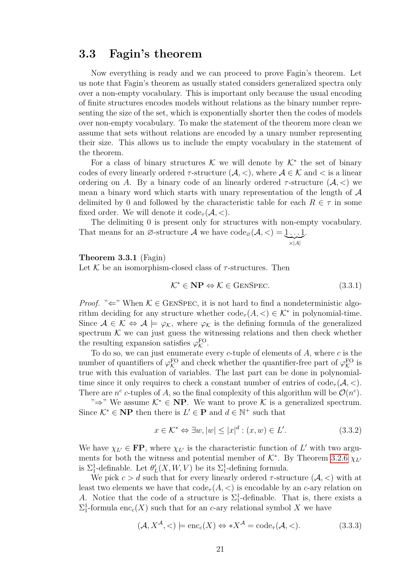### <span id="page-24-0"></span>**3.3 Fagin's theorem**

Now everything is ready and we can proceed to prove Fagin's theorem. Let us note that Fagin's theorem as usually stated considers generalized spectra only over a non-empty vocabulary. This is important only because the usual encoding of finite structures encodes models without relations as the binary number representing the size of the set, which is exponentially shorter then the codes of models over non-empty vocabulary. To make the statement of the theorem more clean we assume that sets without relations are encoded by a unary number representing their size. This allows us to include the empty vocabulary in the statement of the theorem.

For a class of binary structures K we will denote by  $K^*$  the set of binary codes of every linearly ordered  $\tau$ -structure  $(A, \leq)$ , where  $A \in \mathcal{K}$  and  $\leq$  is a linear ordering on *A*. By a binary code of an linearly ordered  $\tau$ -structure  $(A, \leq)$  we mean a binary word which starts with unary representation of the length of  $\mathcal A$ delimited by 0 and followed by the characteristic table for each  $R \in \tau$  in some fixed order. We will denote it code*<sup>τ</sup>* (A*, <*).

The delimiting 0 is present only for structures with non-empty vocabulary. That means for an  $\emptyset$ -structure  $\mathcal A$  we have  $\mathrm{code}_{\emptyset}(\mathcal A,<) = 1 \dots 1$  $\overline{\times |A|}$ .

<span id="page-24-1"></span>**Theorem 3.3.1** (Fagin)

Let  $K$  be an isomorphism-closed class of  $\tau$ -structures. Then

$$
\mathcal{K}^* \in \mathbf{NP} \Leftrightarrow \mathcal{K} \in \text{GENSpec.} \tag{3.3.1}
$$

*Proof.* " $\Leftarrow$ " When  $\mathcal{K} \in \text{GENSpec}$ , it is not hard to find a nondeterministic algorithm deciding for any structure whether  $\text{code}_{\tau}(A, \leq) \in \mathcal{K}^*$  in polynomial-time. Since  $A \in \mathcal{K} \Leftrightarrow A \models \varphi_{\mathcal{K}}$ , where  $\varphi_{\mathcal{K}}$  is the defining formula of the generalized spectrum  $K$  we can just guess the witnessing relations and then check whether the resulting expansion satisfies  $\varphi_{\mathcal{K}}^{\text{FO}}$ .

To do so, we can just enumerate every *c*-tuple of elements of *A*, where *c* is the number of quantifiers of  $\varphi_{\mathcal{K}}^{\text{FO}}$  and check whether the quantifier-free part of  $\varphi_{\mathcal{K}}^{\text{FO}}$  is true with this evaluation of variables. The last part can be done in polynomialtime since it only requires to check a constant number of entries of  $\text{code}_{\tau}(\mathcal{A}, <)$ . There are  $n^c$  c-tuples of A, so the final complexity of this algorithm will be  $\mathcal{O}(n^c)$ .

" $\Rightarrow$ " We assume  $\mathcal{K}^*$  ∈ **NP**. We want to prove  $\mathcal{K}$  is a generalized spectrum. Since  $K^* \in \mathbf{NP}$  then there is  $L' \in \mathbf{P}$  and  $d \in \mathbb{N}^+$  such that

$$
x \in \mathcal{K}^* \Leftrightarrow \exists w, |w| \le |x|^d : (x, w) \in L'. \tag{3.3.2}
$$

We have  $\chi_{L'} \in \mathbf{FP}$ , where  $\chi_{L'}$  is the characteristic function of L' with two arguments for both the witness and potential member of  $K^*$ . By Theorem [3.2.6](#page-23-0)  $\chi_{L'}$ is  $\Sigma_1^1$ -definable. Let  $\theta'_{L}(X, W, V)$  be its  $\Sigma_1^1$ -defining formula.

We pick  $c > d$  such that for every linearly ordered  $\tau$ -structure  $(\mathcal{A}, <)$  with at least two elements we have that  $\text{code}_{\tau}(A, \leq)$  is encodable by an *c*-ary relation on *A*. Notice that the code of a structure is  $\Sigma_1^1$ -definable. That is, there exists a  $\Sigma^1_1$ -formula enc<sub>c</sub>(*X*) such that for an *c*-ary relational symbol *X* we have

$$
(\mathcal{A}, X^{\mathcal{A}}, \langle) \models \text{enc}_c(X) \Leftrightarrow *X^{\mathcal{A}} = \text{code}_{\tau}(\mathcal{A}, \langle). \tag{3.3.3}
$$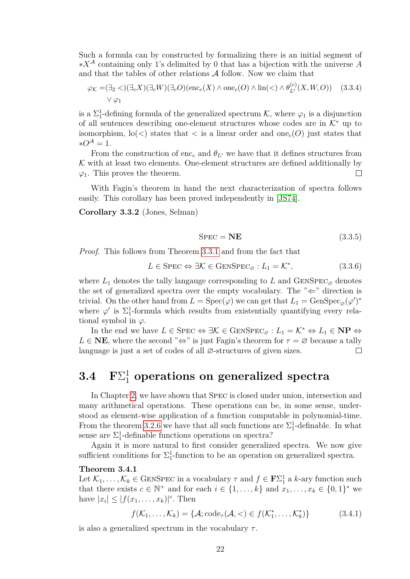Such a formula can by constructed by formalizing there is an initial segment of ∗*X*<sup>A</sup> containing only 1's delimited by 0 that has a bijection with the universe *A* and that the tables of other relations  $A$  follow. Now we claim that

$$
\varphi_{\mathcal{K}} = (\exists_2 <) (\exists_c X) (\exists_c W) (\exists_c O) (\text{enc}_c(X) \land \text{one}_c(O) \land \text{lin}(<) \land \theta_{L'}^{(c)}(X, W, O))
$$
 (3.3.4)  

$$
\lor \varphi_1
$$

is a  $\Sigma_1^1$ -defining formula of the generalized spectrum  $K$ , where  $\varphi_1$  is a disjunction of all sentences describing one-element structures whose codes are in  $K^*$  up to isomorphism,  $\text{lo}(\le)$  states that  $\le$  is a linear order and one<sub>c</sub>(*O*) just states that  $*O^{\mathcal{A}}=1.$ 

From the construction of enc<sub>c</sub> and  $\theta_{L'}$  we have that it defines structures from  $K$  with at least two elements. One-element structures are defined additionally by  $\Box$  $\varphi_1$ . This proves the theorem.

With Fagin's theorem in hand the next characterization of spectra follows easily. This corollary has been proved independently in [\[JS74\]](#page-28-3).

<span id="page-25-1"></span>**Corollary 3.3.2** (Jones, Selman)

$$
SPEC = NE
$$
 (3.3.5)

*Proof.* This follows from Theorem [3.3.1](#page-24-1) and from the fact that

$$
L \in \text{Spec} \Leftrightarrow \exists \mathcal{K} \in \text{GENSpec}_{\varnothing} : L_1 = \mathcal{K}^*,\tag{3.3.6}
$$

where  $L_1$  denotes the tally langauge corresponding to  $L$  and  $GENSpec_{\varnothing}$  denotes the set of generalized spectra over the empty vocabulary. The " $\Leftarrow$ " direction is trivial. On the other hand from  $L = \text{Spec}(\varphi)$  we can get that  $L_1 = \text{GenSpec}_{\varnothing}(\varphi')^*$ where  $\varphi'$  is  $\Sigma_1^1$ -formula which results from existentially quantifying every relational symbol in  $\varphi$ .

In the end we have  $L \in \text{Spec} \Leftrightarrow \exists \mathcal{K} \in \text{GENSpec}_{\varnothing} : L_1 = \mathcal{K}^* \Leftrightarrow L_1 \in \mathbf{NP} \Leftrightarrow$  $L \in \mathbb{NE}$ , where the second " $\Leftrightarrow$ " is just Fagin's theorem for  $\tau = \emptyset$  because a tally language is just a set of codes of all ∅-structures of given sizes.  $\Box$ 

## <span id="page-25-0"></span> $3.4$   $\mathrm{F}\Sigma_1^1$  operations on generalized spectra

In Chapter [2,](#page-10-0) we have shown that Spec is closed under union, intersection and many arithmetical operations. These operations can be, in some sense, understood as element-wise application of a function computable in polynomial-time. From the theorem [3.2.6](#page-23-0) we have that all such functions are  $\Sigma_1^1$ -definable. In what sense are  $\Sigma_1^1$ -definable functions operations on spectra?

Again it is more natural to first consider generalized spectra. We now give sufficient conditions for  $\Sigma_1^1$ -function to be an operation on generalized spectra.

#### <span id="page-25-2"></span>**Theorem 3.4.1**

Let  $\mathcal{K}_1, \ldots, \mathcal{K}_k \in \text{GENSPEC}$  in a vocabulary  $\tau$  and  $f \in \mathbf{F} \Sigma_1^1$  a *k*-ary function such that there exists  $c \in \mathbb{N}^+$  and for each  $i \in \{1, \ldots, k\}$  and  $x_1, \ldots, x_k \in \{0, 1\}^*$  we have  $|x_i| \leq |f(x_1,\ldots,x_k)|^c$ . Then

$$
f(\mathcal{K}_1, \dots, \mathcal{K}_k) = \{ \mathcal{A}; \mathrm{code}_{\tau}(\mathcal{A}, <) \in f(\mathcal{K}_1^*, \dots, \mathcal{K}_k^*) \} \tag{3.4.1}
$$

is also a generalized spectrum in the vocabulary *τ* .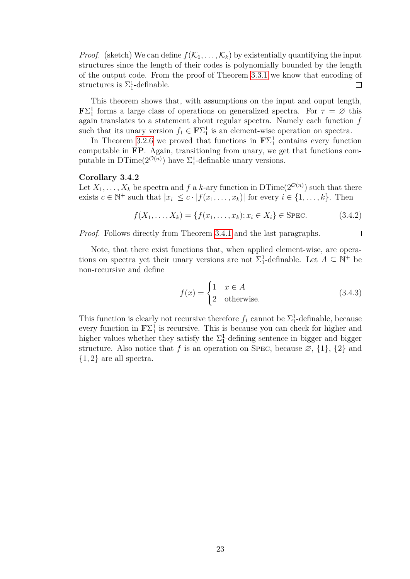*Proof.* (sketch) We can define  $f(\mathcal{K}_1, \ldots, \mathcal{K}_k)$  by existentially quantifying the input structures since the length of their codes is polynomially bounded by the length of the output code. From the proof of Theorem [3.3.1](#page-24-1) we know that encoding of structures is  $\Sigma_1^1$ -definable.  $\Box$ 

This theorem shows that, with assumptions on the input and ouput length, **F** $\Sigma_1^1$  forms a large class of operations on generalized spectra. For  $\tau = \emptyset$  this again translates to a statement about regular spectra. Namely each function *f* such that its unary version  $f_1 \in \mathbf{F} \Sigma_1^1$  is an element-wise operation on spectra.

In Theorem [3.2.6](#page-23-0) we proved that functions in  $\mathbf{F}\Sigma_1^1$  contains every function computable in **FP**. Again, transitioning from unary, we get that functions computable in  $DTime(2^{\mathcal{O}(n)})$  have  $\Sigma_1^1$ -definable unary versions.

#### <span id="page-26-0"></span>**Corollary 3.4.2**

Let  $X_1, \ldots, X_k$  be spectra and  $f$  a  $k$ -ary function in  $\text{DTime}(2^{\mathcal{O}(n)})$  such that there exists  $c \in \mathbb{N}^+$  such that  $|x_i| \leq c \cdot |f(x_1, \ldots, x_k)|$  for every  $i \in \{1, \ldots, k\}$ . Then

$$
f(X_1, ..., X_k) = \{f(x_1, ..., x_k); x_i \in X_i\} \in \text{SPEC.}
$$
\n(3.4.2)

*Proof.* Follows directly from Theorem [3.4.1](#page-25-2) and the last paragraphs.

Note, that there exist functions that, when applied element-wise, are operations on spectra yet their unary versions are not  $\Sigma_1^1$ -definable. Let  $A \subseteq \mathbb{N}^+$  be non-recursive and define

$$
f(x) = \begin{cases} 1 & x \in A \\ 2 & \text{otherwise.} \end{cases}
$$
 (3.4.3)

 $\Box$ 

This function is clearly not recursive therefore  $f_1$  cannot be  $\Sigma_1^1$ -definable, because every function in  $\mathbf{F}\Sigma_1^1$  is recursive. This is because you can check for higher and higher values whether they satisfy the  $\Sigma_1^1$ -defining sentence in bigger and bigger structure. Also notice that *f* is an operation on SPEC, because  $\varnothing$ ,  $\{1\}$ ,  $\{2\}$  and {1*,* 2} are all spectra.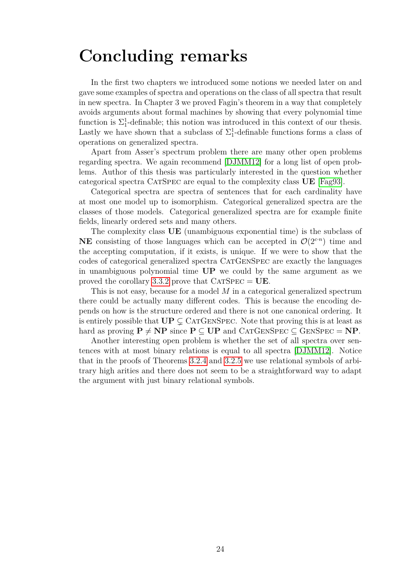## <span id="page-27-0"></span>**Concluding remarks**

In the first two chapters we introduced some notions we needed later on and gave some examples of spectra and operations on the class of all spectra that result in new spectra. In Chapter 3 we proved Fagin's theorem in a way that completely avoids arguments about formal machines by showing that every polynomial time function is  $\Sigma_1^1$ -definable; this notion was introduced in this context of our thesis. Lastly we have shown that a subclass of  $\Sigma_1^1$ -definable functions forms a class of operations on generalized spectra.

Apart from Asser's spectrum problem there are many other open problems regarding spectra. We again recommend [\[DJMM12\]](#page-28-5) for a long list of open problems. Author of this thesis was particularly interested in the question whether categorical spectra CatSpec are equal to the complexity class **UE** [\[Fag93\]](#page-28-13).

Categorical spectra are spectra of sentences that for each cardinality have at most one model up to isomorphism. Categorical generalized spectra are the classes of those models. Categorical generalized spectra are for example finite fields, linearly ordered sets and many others.

The complexity class **UE** (unambiguous exponential time) is the subclass of **NE** consisting of those languages which can be accepted in  $\mathcal{O}(2^{c \cdot n})$  time and the accepting computation, if it exists, is unique. If we were to show that the codes of categorical generalized spectra CatGenSpec are exactly the languages in unambiguous polynomial time **UP** we could by the same argument as we proved the corollary [3.3.2](#page-25-1) prove that  $CATSPEC = UE$ .

This is not easy, because for a model *M* in a categorical generalized spectrum there could be actually many different codes. This is because the encoding depends on how is the structure ordered and there is not one canonical ordering. It is entirely possible that  $UP \subsetneq CATGENSpec$ . Note that proving this is at least as hard as proving  $P \neq NP$  since  $P \subseteq UP$  and CATGENSPEC  $\subseteq$  GENSPEC = **NP**.

Another interesting open problem is whether the set of all spectra over sentences with at most binary relations is equal to all spectra [\[DJMM12\]](#page-28-5). Notice that in the proofs of Theorems [3.2.4](#page-20-1) and [3.2.5](#page-21-2) we use relational symbols of arbitrary high arities and there does not seem to be a straightforward way to adapt the argument with just binary relational symbols.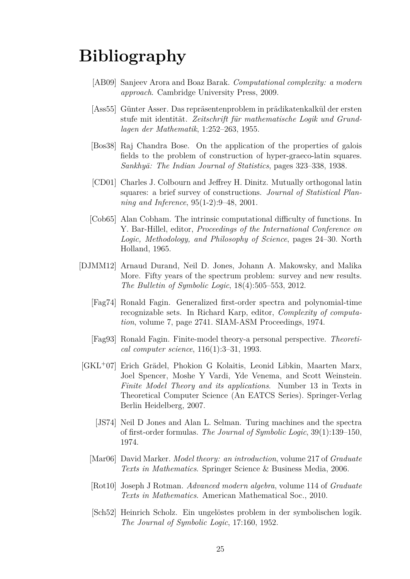# <span id="page-28-0"></span>**Bibliography**

- <span id="page-28-8"></span>[AB09] Sanjeev Arora and Boaz Barak. *Computational complexity: a modern approach*. Cambridge University Press, 2009.
- <span id="page-28-4"></span>[Ass55] Günter Asser. Das repräsentenproblem in prädikatenkalkül der ersten stufe mit identität. Zeitschrift für mathematische Logik und Grund*lagen der Mathematik*, 1:252–263, 1955.
- <span id="page-28-12"></span>[Bos38] Raj Chandra Bose. On the application of the properties of galois fields to the problem of construction of hyper-graeco-latin squares. *Sankhy¯a: The Indian Journal of Statistics*, pages 323–338, 1938.
- <span id="page-28-11"></span>[CD01] Charles J. Colbourn and Jeffrey H. Dinitz. Mutually orthogonal latin squares: a brief survey of constructions. *Journal of Statistical Planning and Inference*, 95(1-2):9–48, 2001.
- <span id="page-28-9"></span>[Cob65] Alan Cobham. The intrinsic computational difficulty of functions. In Y. Bar-Hillel, editor, *Proceedings of the International Conference on Logic, Methodology, and Philosophy of Science*, pages 24–30. North Holland, 1965.
- <span id="page-28-5"></span><span id="page-28-2"></span>[DJMM12] Arnaud Durand, Neil D. Jones, Johann A. Makowsky, and Malika More. Fifty years of the spectrum problem: survey and new results. *The Bulletin of Symbolic Logic*, 18(4):505–553, 2012.
	- [Fag74] Ronald Fagin. Generalized first-order spectra and polynomial-time recognizable sets. In Richard Karp, editor, *Complexity of computation*, volume 7, page 2741. SIAM-ASM Proceedings, 1974.
	- [Fag93] Ronald Fagin. Finite-model theory-a personal perspective. *Theoretical computer science*, 116(1):3–31, 1993.
- <span id="page-28-13"></span><span id="page-28-10"></span><span id="page-28-7"></span><span id="page-28-6"></span><span id="page-28-3"></span><span id="page-28-1"></span>[GKL<sup>+</sup>07] Erich Grädel, Phokion G Kolaitis, Leonid Libkin, Maarten Marx, Joel Spencer, Moshe Y Vardi, Yde Venema, and Scott Weinstein. *Finite Model Theory and its applications*. Number 13 in Texts in Theoretical Computer Science (An EATCS Series). Springer-Verlag Berlin Heidelberg, 2007.
	- [JS74] Neil D Jones and Alan L. Selman. Turing machines and the spectra of first-order formulas. *The Journal of Symbolic Logic*, 39(1):139–150, 1974.
	- [Mar06] David Marker. *Model theory: an introduction*, volume 217 of *Graduate Texts in Mathematics*. Springer Science & Business Media, 2006.
	- [Rot10] Joseph J Rotman. *Advanced modern algebra*, volume 114 of *Graduate Texts in Mathematics*. American Mathematical Soc., 2010.
	- [Sch52] Heinrich Scholz. Ein ungelöstes problem in der symbolischen logik. *The Journal of Symbolic Logic*, 17:160, 1952.